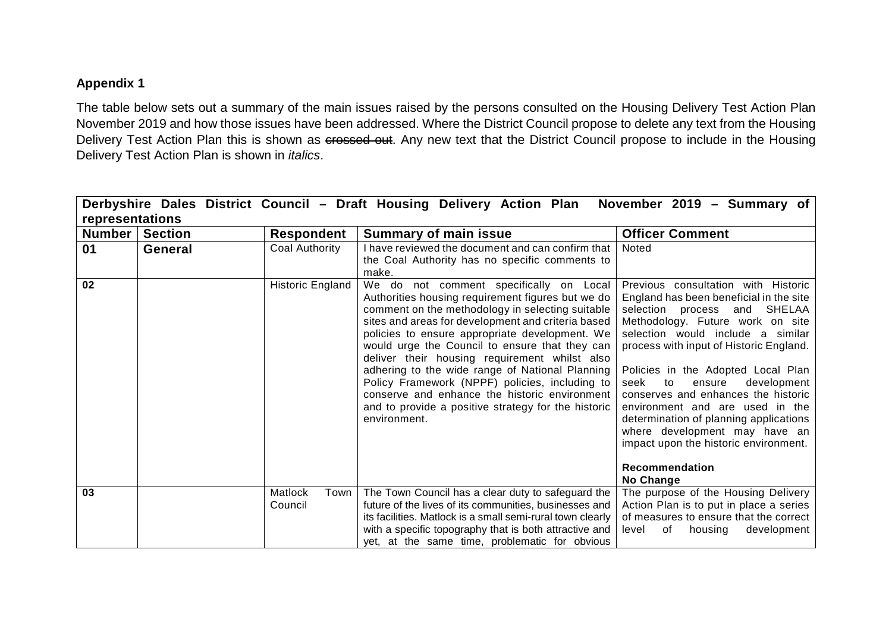## **Appendix 1**

The table below sets out a summary of the main issues raised by the persons consulted on the Housing Delivery Test Action Plan November 2019 and how those issues have been addressed. Where the District Council propose to delete any text from the Housing Delivery Test Action Plan this is shown as crossed out. Any new text that the District Council propose to include in the Housing Delivery Test Action Plan is shown in *italics*.

|                 |                |                            | Derbyshire Dales District Council - Draft Housing Delivery Action Plan November 2019 - Summary of                                                                                                                                                                                                                                                                                                                                                                                                                                                                                        |                                                                                                                                                                                                                                                                                                                                                                                                                                                                                                                                                        |
|-----------------|----------------|----------------------------|------------------------------------------------------------------------------------------------------------------------------------------------------------------------------------------------------------------------------------------------------------------------------------------------------------------------------------------------------------------------------------------------------------------------------------------------------------------------------------------------------------------------------------------------------------------------------------------|--------------------------------------------------------------------------------------------------------------------------------------------------------------------------------------------------------------------------------------------------------------------------------------------------------------------------------------------------------------------------------------------------------------------------------------------------------------------------------------------------------------------------------------------------------|
| representations |                |                            |                                                                                                                                                                                                                                                                                                                                                                                                                                                                                                                                                                                          |                                                                                                                                                                                                                                                                                                                                                                                                                                                                                                                                                        |
| <b>Number</b>   | <b>Section</b> | Respondent                 | <b>Summary of main issue</b>                                                                                                                                                                                                                                                                                                                                                                                                                                                                                                                                                             | <b>Officer Comment</b>                                                                                                                                                                                                                                                                                                                                                                                                                                                                                                                                 |
| 01              | General        | Coal Authority             | I have reviewed the document and can confirm that<br>the Coal Authority has no specific comments to<br>make.                                                                                                                                                                                                                                                                                                                                                                                                                                                                             | Noted                                                                                                                                                                                                                                                                                                                                                                                                                                                                                                                                                  |
| 02              |                | <b>Historic England</b>    | We do not comment specifically on Local<br>Authorities housing requirement figures but we do<br>comment on the methodology in selecting suitable<br>sites and areas for development and criteria based<br>policies to ensure appropriate development. We<br>would urge the Council to ensure that they can<br>deliver their housing requirement whilst also<br>adhering to the wide range of National Planning<br>Policy Framework (NPPF) policies, including to<br>conserve and enhance the historic environment<br>and to provide a positive strategy for the historic<br>environment. | Previous consultation with Historic<br>England has been beneficial in the site<br>SHELAA<br>selection process and<br>Methodology. Future work on site<br>selection would include a similar<br>process with input of Historic England.<br>Policies in the Adopted Local Plan<br>seek<br>to<br>development<br>ensure<br>conserves and enhances the historic<br>environment and are used in the<br>determination of planning applications<br>where development may have an<br>impact upon the historic environment.<br><b>Recommendation</b><br>No Change |
| 03              |                | Matlock<br>Town<br>Council | The Town Council has a clear duty to safeguard the<br>future of the lives of its communities, businesses and<br>its facilities. Matlock is a small semi-rural town clearly<br>with a specific topography that is both attractive and<br>yet, at the same time, problematic for obvious                                                                                                                                                                                                                                                                                                   | The purpose of the Housing Delivery<br>Action Plan is to put in place a series<br>of measures to ensure that the correct<br>housing<br>development<br>of<br>level                                                                                                                                                                                                                                                                                                                                                                                      |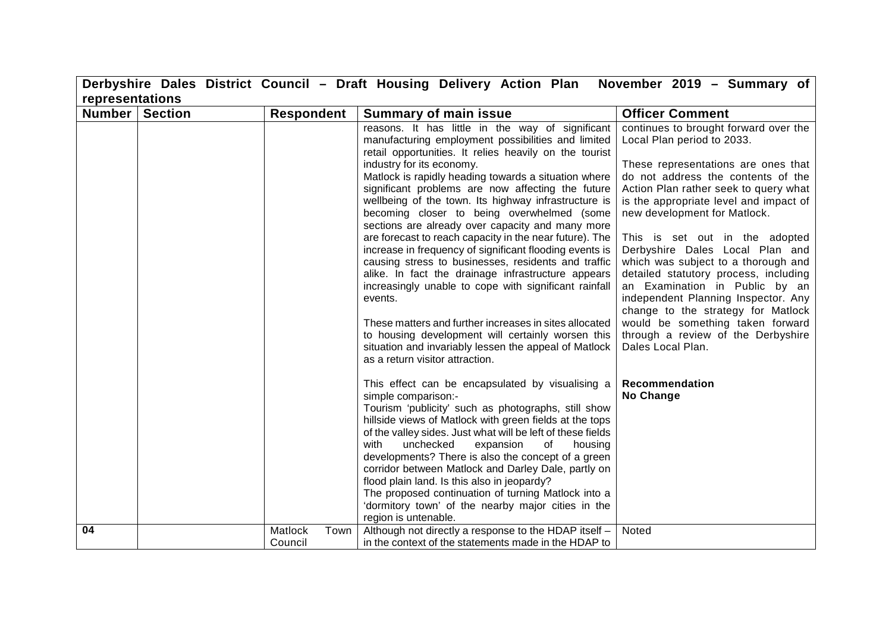|                 |                |                            | Derbyshire Dales District Council - Draft Housing Delivery Action Plan                                                                                                                                                                                                                                                                                                                                                                                                                                                                                                                                                                                                                                                                                                                                                                                                                                                                                                                 | November 2019 - Summary of                                                                                                                                                                                                                                                                                                                                                                                                                                                                                                                                                                                                             |
|-----------------|----------------|----------------------------|----------------------------------------------------------------------------------------------------------------------------------------------------------------------------------------------------------------------------------------------------------------------------------------------------------------------------------------------------------------------------------------------------------------------------------------------------------------------------------------------------------------------------------------------------------------------------------------------------------------------------------------------------------------------------------------------------------------------------------------------------------------------------------------------------------------------------------------------------------------------------------------------------------------------------------------------------------------------------------------|----------------------------------------------------------------------------------------------------------------------------------------------------------------------------------------------------------------------------------------------------------------------------------------------------------------------------------------------------------------------------------------------------------------------------------------------------------------------------------------------------------------------------------------------------------------------------------------------------------------------------------------|
| representations |                |                            |                                                                                                                                                                                                                                                                                                                                                                                                                                                                                                                                                                                                                                                                                                                                                                                                                                                                                                                                                                                        |                                                                                                                                                                                                                                                                                                                                                                                                                                                                                                                                                                                                                                        |
| <b>Number</b>   | <b>Section</b> | <b>Respondent</b>          | <b>Summary of main issue</b>                                                                                                                                                                                                                                                                                                                                                                                                                                                                                                                                                                                                                                                                                                                                                                                                                                                                                                                                                           | <b>Officer Comment</b>                                                                                                                                                                                                                                                                                                                                                                                                                                                                                                                                                                                                                 |
|                 |                |                            | reasons. It has little in the way of significant<br>manufacturing employment possibilities and limited<br>retail opportunities. It relies heavily on the tourist<br>industry for its economy.<br>Matlock is rapidly heading towards a situation where<br>significant problems are now affecting the future<br>wellbeing of the town. Its highway infrastructure is<br>becoming closer to being overwhelmed (some<br>sections are already over capacity and many more<br>are forecast to reach capacity in the near future). The<br>increase in frequency of significant flooding events is<br>causing stress to businesses, residents and traffic<br>alike. In fact the drainage infrastructure appears<br>increasingly unable to cope with significant rainfall<br>events.<br>These matters and further increases in sites allocated<br>to housing development will certainly worsen this<br>situation and invariably lessen the appeal of Matlock<br>as a return visitor attraction. | continues to brought forward over the<br>Local Plan period to 2033.<br>These representations are ones that<br>do not address the contents of the<br>Action Plan rather seek to query what<br>is the appropriate level and impact of<br>new development for Matlock.<br>This is set out in the adopted<br>Derbyshire Dales Local Plan and<br>which was subject to a thorough and<br>detailed statutory process, including<br>an Examination in Public by an<br>independent Planning Inspector. Any<br>change to the strategy for Matlock<br>would be something taken forward<br>through a review of the Derbyshire<br>Dales Local Plan. |
|                 |                |                            | This effect can be encapsulated by visualising a<br>simple comparison:-<br>Tourism 'publicity' such as photographs, still show<br>hillside views of Matlock with green fields at the tops<br>of the valley sides. Just what will be left of these fields<br>unchecked<br>expansion<br>housing<br>with<br>of<br>developments? There is also the concept of a green<br>corridor between Matlock and Darley Dale, partly on<br>flood plain land. Is this also in jeopardy?<br>The proposed continuation of turning Matlock into a<br>'dormitory town' of the nearby major cities in the<br>region is untenable.                                                                                                                                                                                                                                                                                                                                                                           | Recommendation<br>No Change                                                                                                                                                                                                                                                                                                                                                                                                                                                                                                                                                                                                            |
| 04              |                | Matlock<br>Town<br>Council | Although not directly a response to the HDAP itself -<br>in the context of the statements made in the HDAP to                                                                                                                                                                                                                                                                                                                                                                                                                                                                                                                                                                                                                                                                                                                                                                                                                                                                          | Noted                                                                                                                                                                                                                                                                                                                                                                                                                                                                                                                                                                                                                                  |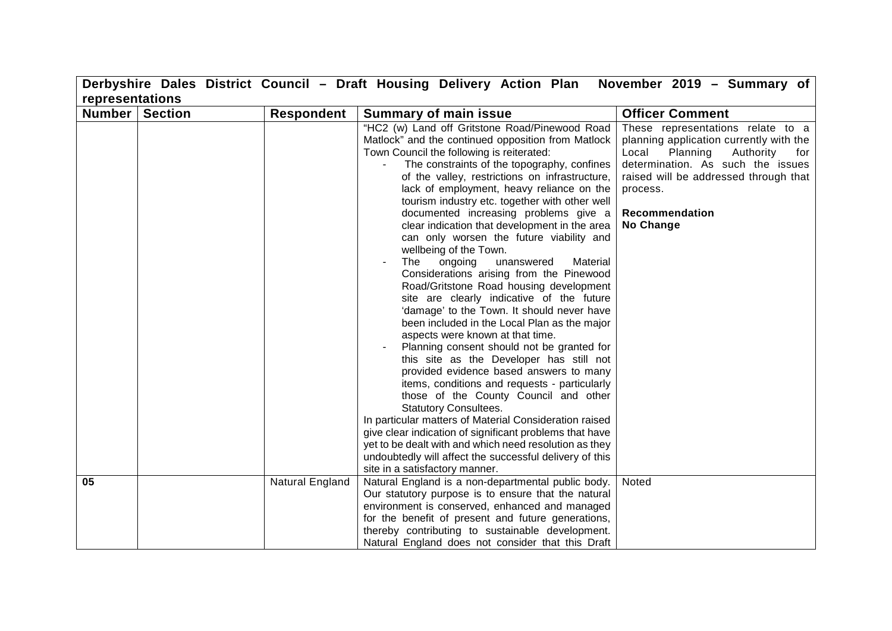|                 |                |                   | Derbyshire Dales District Council - Draft Housing Delivery Action Plan                                                                                                                                                                                                                                                                                                                                                                                                                                                                                                                                                                                                                                                                                                                                                                                                                                                                                                                                                                                                                                                                                                                                                                                                                                                                                                         | November 2019 - Summary of                                                                                                                                                                                                                     |
|-----------------|----------------|-------------------|--------------------------------------------------------------------------------------------------------------------------------------------------------------------------------------------------------------------------------------------------------------------------------------------------------------------------------------------------------------------------------------------------------------------------------------------------------------------------------------------------------------------------------------------------------------------------------------------------------------------------------------------------------------------------------------------------------------------------------------------------------------------------------------------------------------------------------------------------------------------------------------------------------------------------------------------------------------------------------------------------------------------------------------------------------------------------------------------------------------------------------------------------------------------------------------------------------------------------------------------------------------------------------------------------------------------------------------------------------------------------------|------------------------------------------------------------------------------------------------------------------------------------------------------------------------------------------------------------------------------------------------|
| representations |                |                   |                                                                                                                                                                                                                                                                                                                                                                                                                                                                                                                                                                                                                                                                                                                                                                                                                                                                                                                                                                                                                                                                                                                                                                                                                                                                                                                                                                                |                                                                                                                                                                                                                                                |
| Number          | <b>Section</b> | <b>Respondent</b> | <b>Summary of main issue</b>                                                                                                                                                                                                                                                                                                                                                                                                                                                                                                                                                                                                                                                                                                                                                                                                                                                                                                                                                                                                                                                                                                                                                                                                                                                                                                                                                   | <b>Officer Comment</b>                                                                                                                                                                                                                         |
|                 |                |                   | "HC2 (w) Land off Gritstone Road/Pinewood Road<br>Matlock" and the continued opposition from Matlock<br>Town Council the following is reiterated:<br>The constraints of the topography, confines<br>of the valley, restrictions on infrastructure,<br>lack of employment, heavy reliance on the<br>tourism industry etc. together with other well<br>documented increasing problems give a<br>clear indication that development in the area<br>can only worsen the future viability and<br>wellbeing of the Town.<br>The<br>ongoing<br>unanswered<br>Material<br>Considerations arising from the Pinewood<br>Road/Gritstone Road housing development<br>site are clearly indicative of the future<br>'damage' to the Town. It should never have<br>been included in the Local Plan as the major<br>aspects were known at that time.<br>Planning consent should not be granted for<br>this site as the Developer has still not<br>provided evidence based answers to many<br>items, conditions and requests - particularly<br>those of the County Council and other<br><b>Statutory Consultees.</b><br>In particular matters of Material Consideration raised<br>give clear indication of significant problems that have<br>yet to be dealt with and which need resolution as they<br>undoubtedly will affect the successful delivery of this<br>site in a satisfactory manner. | These representations relate to a<br>planning application currently with the<br>Local<br>Planning<br>Authority<br>for<br>determination. As such the issues<br>raised will be addressed through that<br>process.<br>Recommendation<br>No Change |
| 05              |                | Natural England   | Natural England is a non-departmental public body.<br>Our statutory purpose is to ensure that the natural<br>environment is conserved, enhanced and managed<br>for the benefit of present and future generations,<br>thereby contributing to sustainable development.<br>Natural England does not consider that this Draft                                                                                                                                                                                                                                                                                                                                                                                                                                                                                                                                                                                                                                                                                                                                                                                                                                                                                                                                                                                                                                                     | Noted                                                                                                                                                                                                                                          |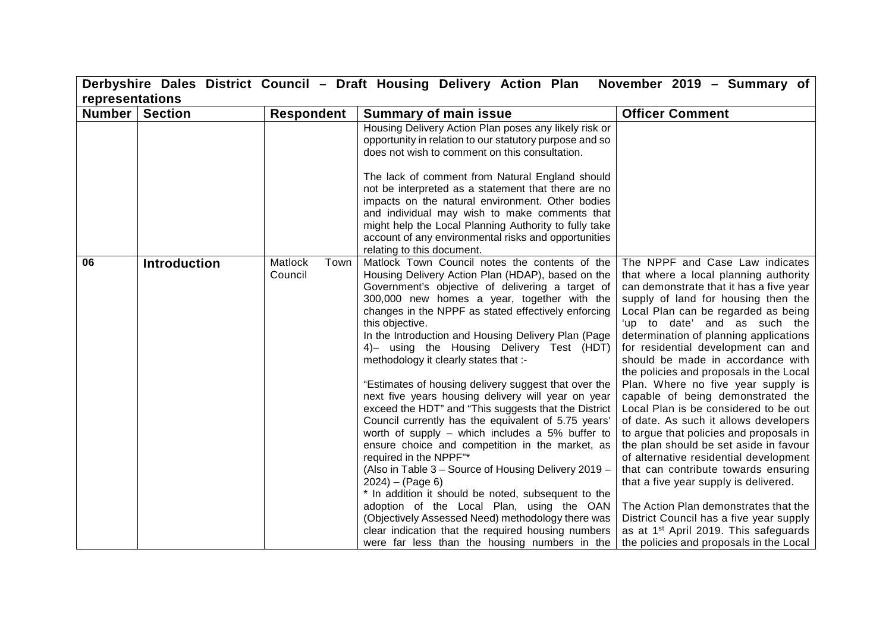|               |                     |                            | Derbyshire Dales District Council - Draft Housing Delivery Action Plan                                                                                                                                                                                                                                                                                                                                                                                                                                                                                                                                                                                                                                                                                                                                                                                                                                                                                                                                                                                                                     | November 2019 - Summary of                                                                                                                                                                                                                                                                                                                                                                                                                                                                                                                                                                                                                                                                                                                                                                                                                                                                                               |  |
|---------------|---------------------|----------------------------|--------------------------------------------------------------------------------------------------------------------------------------------------------------------------------------------------------------------------------------------------------------------------------------------------------------------------------------------------------------------------------------------------------------------------------------------------------------------------------------------------------------------------------------------------------------------------------------------------------------------------------------------------------------------------------------------------------------------------------------------------------------------------------------------------------------------------------------------------------------------------------------------------------------------------------------------------------------------------------------------------------------------------------------------------------------------------------------------|--------------------------------------------------------------------------------------------------------------------------------------------------------------------------------------------------------------------------------------------------------------------------------------------------------------------------------------------------------------------------------------------------------------------------------------------------------------------------------------------------------------------------------------------------------------------------------------------------------------------------------------------------------------------------------------------------------------------------------------------------------------------------------------------------------------------------------------------------------------------------------------------------------------------------|--|
|               | representations     |                            |                                                                                                                                                                                                                                                                                                                                                                                                                                                                                                                                                                                                                                                                                                                                                                                                                                                                                                                                                                                                                                                                                            |                                                                                                                                                                                                                                                                                                                                                                                                                                                                                                                                                                                                                                                                                                                                                                                                                                                                                                                          |  |
| <b>Number</b> | <b>Section</b>      | <b>Respondent</b>          | <b>Summary of main issue</b>                                                                                                                                                                                                                                                                                                                                                                                                                                                                                                                                                                                                                                                                                                                                                                                                                                                                                                                                                                                                                                                               | <b>Officer Comment</b>                                                                                                                                                                                                                                                                                                                                                                                                                                                                                                                                                                                                                                                                                                                                                                                                                                                                                                   |  |
|               |                     |                            | Housing Delivery Action Plan poses any likely risk or<br>opportunity in relation to our statutory purpose and so<br>does not wish to comment on this consultation.                                                                                                                                                                                                                                                                                                                                                                                                                                                                                                                                                                                                                                                                                                                                                                                                                                                                                                                         |                                                                                                                                                                                                                                                                                                                                                                                                                                                                                                                                                                                                                                                                                                                                                                                                                                                                                                                          |  |
|               |                     |                            | The lack of comment from Natural England should<br>not be interpreted as a statement that there are no                                                                                                                                                                                                                                                                                                                                                                                                                                                                                                                                                                                                                                                                                                                                                                                                                                                                                                                                                                                     |                                                                                                                                                                                                                                                                                                                                                                                                                                                                                                                                                                                                                                                                                                                                                                                                                                                                                                                          |  |
|               |                     |                            | impacts on the natural environment. Other bodies                                                                                                                                                                                                                                                                                                                                                                                                                                                                                                                                                                                                                                                                                                                                                                                                                                                                                                                                                                                                                                           |                                                                                                                                                                                                                                                                                                                                                                                                                                                                                                                                                                                                                                                                                                                                                                                                                                                                                                                          |  |
|               |                     |                            | and individual may wish to make comments that                                                                                                                                                                                                                                                                                                                                                                                                                                                                                                                                                                                                                                                                                                                                                                                                                                                                                                                                                                                                                                              |                                                                                                                                                                                                                                                                                                                                                                                                                                                                                                                                                                                                                                                                                                                                                                                                                                                                                                                          |  |
|               |                     |                            | might help the Local Planning Authority to fully take                                                                                                                                                                                                                                                                                                                                                                                                                                                                                                                                                                                                                                                                                                                                                                                                                                                                                                                                                                                                                                      |                                                                                                                                                                                                                                                                                                                                                                                                                                                                                                                                                                                                                                                                                                                                                                                                                                                                                                                          |  |
|               |                     |                            | account of any environmental risks and opportunities                                                                                                                                                                                                                                                                                                                                                                                                                                                                                                                                                                                                                                                                                                                                                                                                                                                                                                                                                                                                                                       |                                                                                                                                                                                                                                                                                                                                                                                                                                                                                                                                                                                                                                                                                                                                                                                                                                                                                                                          |  |
|               |                     |                            | relating to this document.                                                                                                                                                                                                                                                                                                                                                                                                                                                                                                                                                                                                                                                                                                                                                                                                                                                                                                                                                                                                                                                                 |                                                                                                                                                                                                                                                                                                                                                                                                                                                                                                                                                                                                                                                                                                                                                                                                                                                                                                                          |  |
| 06            | <b>Introduction</b> | Matlock<br>Town<br>Council | Matlock Town Council notes the contents of the<br>Housing Delivery Action Plan (HDAP), based on the<br>Government's objective of delivering a target of<br>300,000 new homes a year, together with the<br>changes in the NPPF as stated effectively enforcing<br>this objective.<br>In the Introduction and Housing Delivery Plan (Page<br>4)- using the Housing Delivery Test (HDT)<br>methodology it clearly states that :-<br>"Estimates of housing delivery suggest that over the<br>next five years housing delivery will year on year<br>exceed the HDT" and "This suggests that the District<br>Council currently has the equivalent of 5.75 years'<br>worth of supply $-$ which includes a 5% buffer to<br>ensure choice and competition in the market, as<br>required in the NPPF"*<br>(Also in Table 3 - Source of Housing Delivery 2019 -<br>$2024$ ) – (Page 6)<br>* In addition it should be noted, subsequent to the<br>adoption of the Local Plan, using the OAN<br>(Objectively Assessed Need) methodology there was<br>clear indication that the required housing numbers | The NPPF and Case Law indicates<br>that where a local planning authority<br>can demonstrate that it has a five year<br>supply of land for housing then the<br>Local Plan can be regarded as being<br>'up to date' and as such the<br>determination of planning applications<br>for residential development can and<br>should be made in accordance with<br>the policies and proposals in the Local<br>Plan. Where no five year supply is<br>capable of being demonstrated the<br>Local Plan is be considered to be out<br>of date. As such it allows developers<br>to argue that policies and proposals in<br>the plan should be set aside in favour<br>of alternative residential development<br>that can contribute towards ensuring<br>that a five year supply is delivered.<br>The Action Plan demonstrates that the<br>District Council has a five year supply<br>as at 1 <sup>st</sup> April 2019. This safeguards |  |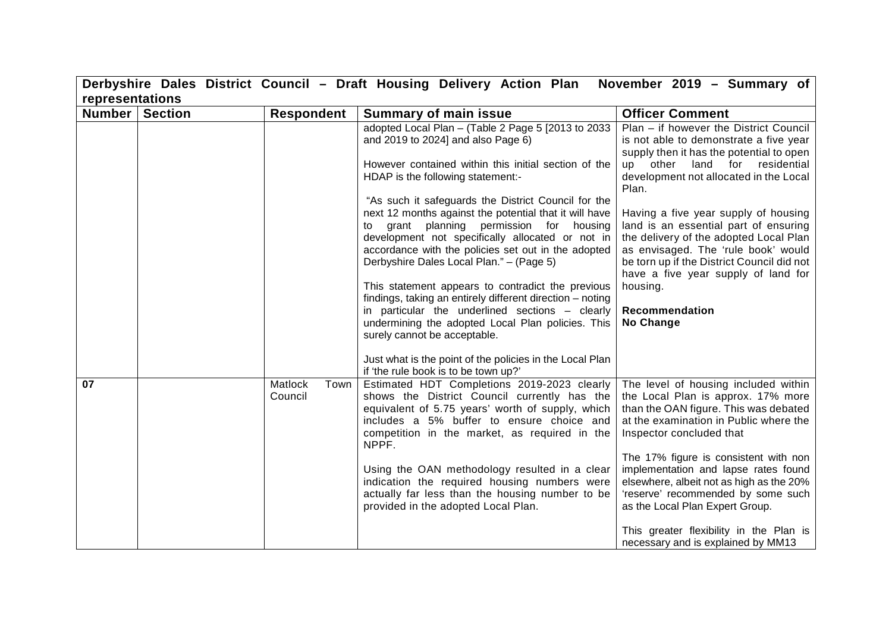|                 |                |                            | Derbyshire Dales District Council - Draft Housing Delivery Action Plan                                                                                                                                                                                                                                                                                                                                                                                                                                                                                                                                                  | November 2019 - Summary of                                                                                                                                                                                                                                                                                                                                                                                                                                                       |
|-----------------|----------------|----------------------------|-------------------------------------------------------------------------------------------------------------------------------------------------------------------------------------------------------------------------------------------------------------------------------------------------------------------------------------------------------------------------------------------------------------------------------------------------------------------------------------------------------------------------------------------------------------------------------------------------------------------------|----------------------------------------------------------------------------------------------------------------------------------------------------------------------------------------------------------------------------------------------------------------------------------------------------------------------------------------------------------------------------------------------------------------------------------------------------------------------------------|
| representations |                |                            |                                                                                                                                                                                                                                                                                                                                                                                                                                                                                                                                                                                                                         |                                                                                                                                                                                                                                                                                                                                                                                                                                                                                  |
| Number          | <b>Section</b> | <b>Respondent</b>          | <b>Summary of main issue</b>                                                                                                                                                                                                                                                                                                                                                                                                                                                                                                                                                                                            | <b>Officer Comment</b>                                                                                                                                                                                                                                                                                                                                                                                                                                                           |
|                 |                |                            | adopted Local Plan - (Table 2 Page 5 [2013 to 2033<br>and 2019 to 2024] and also Page 6)<br>However contained within this initial section of the<br>HDAP is the following statement:-<br>"As such it safeguards the District Council for the                                                                                                                                                                                                                                                                                                                                                                            | Plan - if however the District Council<br>is not able to demonstrate a five year<br>supply then it has the potential to open<br>land for<br>other<br>residential<br>up<br>development not allocated in the Local<br>Plan.                                                                                                                                                                                                                                                        |
|                 |                |                            | next 12 months against the potential that it will have<br>to grant planning permission for housing<br>development not specifically allocated or not in<br>accordance with the policies set out in the adopted<br>Derbyshire Dales Local Plan." - (Page 5)<br>This statement appears to contradict the previous<br>findings, taking an entirely different direction - noting<br>in particular the underlined sections - clearly<br>undermining the adopted Local Plan policies. This<br>surely cannot be acceptable.<br>Just what is the point of the policies in the Local Plan<br>if 'the rule book is to be town up?' | Having a five year supply of housing<br>land is an essential part of ensuring<br>the delivery of the adopted Local Plan<br>as envisaged. The 'rule book' would<br>be torn up if the District Council did not<br>have a five year supply of land for<br>housing.<br>Recommendation<br>No Change                                                                                                                                                                                   |
| 07              |                | Matlock<br>Town<br>Council | Estimated HDT Completions 2019-2023 clearly<br>shows the District Council currently has the<br>equivalent of 5.75 years' worth of supply, which<br>includes a 5% buffer to ensure choice and<br>competition in the market, as required in the<br>NPPF.<br>Using the OAN methodology resulted in a clear<br>indication the required housing numbers were<br>actually far less than the housing number to be<br>provided in the adopted Local Plan.                                                                                                                                                                       | The level of housing included within<br>the Local Plan is approx. 17% more<br>than the OAN figure. This was debated<br>at the examination in Public where the<br>Inspector concluded that<br>The 17% figure is consistent with non<br>implementation and lapse rates found<br>elsewhere, albeit not as high as the 20%<br>'reserve' recommended by some such<br>as the Local Plan Expert Group.<br>This greater flexibility in the Plan is<br>necessary and is explained by MM13 |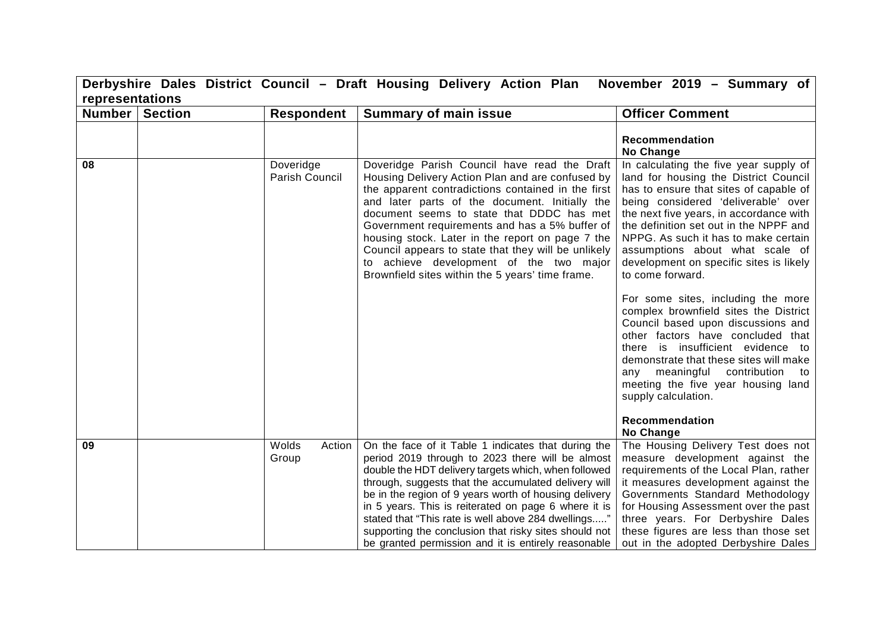|                 | Derbyshire Dales District Council - Draft Housing Delivery Action Plan November 2019 - Summary of |                          |                                                                                                                                                                                                                                                                                                                                                                                                                                                                                                                 |                                                                                                                                                                                                                                                                                                                                                                                                                                                                                                                                                                                                                                        |  |
|-----------------|---------------------------------------------------------------------------------------------------|--------------------------|-----------------------------------------------------------------------------------------------------------------------------------------------------------------------------------------------------------------------------------------------------------------------------------------------------------------------------------------------------------------------------------------------------------------------------------------------------------------------------------------------------------------|----------------------------------------------------------------------------------------------------------------------------------------------------------------------------------------------------------------------------------------------------------------------------------------------------------------------------------------------------------------------------------------------------------------------------------------------------------------------------------------------------------------------------------------------------------------------------------------------------------------------------------------|--|
| representations |                                                                                                   |                          |                                                                                                                                                                                                                                                                                                                                                                                                                                                                                                                 |                                                                                                                                                                                                                                                                                                                                                                                                                                                                                                                                                                                                                                        |  |
| <b>Number</b>   | <b>Section</b>                                                                                    | <b>Respondent</b>        | <b>Summary of main issue</b>                                                                                                                                                                                                                                                                                                                                                                                                                                                                                    | <b>Officer Comment</b>                                                                                                                                                                                                                                                                                                                                                                                                                                                                                                                                                                                                                 |  |
| 08              |                                                                                                   | Doveridge                | Doveridge Parish Council have read the Draft                                                                                                                                                                                                                                                                                                                                                                                                                                                                    | Recommendation<br><b>No Change</b><br>In calculating the five year supply of                                                                                                                                                                                                                                                                                                                                                                                                                                                                                                                                                           |  |
|                 |                                                                                                   | Parish Council           | Housing Delivery Action Plan and are confused by<br>the apparent contradictions contained in the first<br>and later parts of the document. Initially the<br>document seems to state that DDDC has met<br>Government requirements and has a 5% buffer of<br>housing stock. Later in the report on page 7 the<br>Council appears to state that they will be unlikely<br>to achieve development of the two major<br>Brownfield sites within the 5 years' time frame.                                               | land for housing the District Council<br>has to ensure that sites of capable of<br>being considered 'deliverable' over<br>the next five years, in accordance with<br>the definition set out in the NPPF and<br>NPPG. As such it has to make certain<br>assumptions about what scale of<br>development on specific sites is likely<br>to come forward.<br>For some sites, including the more<br>complex brownfield sites the District<br>Council based upon discussions and<br>other factors have concluded that<br>there is insufficient evidence to<br>demonstrate that these sites will make<br>any meaningful contribution<br>to to |  |
|                 |                                                                                                   |                          |                                                                                                                                                                                                                                                                                                                                                                                                                                                                                                                 | meeting the five year housing land<br>supply calculation.<br>Recommendation<br>No Change                                                                                                                                                                                                                                                                                                                                                                                                                                                                                                                                               |  |
| 09              |                                                                                                   | Wolds<br>Action<br>Group | On the face of it Table 1 indicates that during the<br>period 2019 through to 2023 there will be almost<br>double the HDT delivery targets which, when followed<br>through, suggests that the accumulated delivery will<br>be in the region of 9 years worth of housing delivery<br>in 5 years. This is reiterated on page 6 where it is<br>stated that "This rate is well above 284 dwellings"<br>supporting the conclusion that risky sites should not<br>be granted permission and it is entirely reasonable | The Housing Delivery Test does not<br>measure development against the<br>requirements of the Local Plan, rather<br>it measures development against the<br>Governments Standard Methodology<br>for Housing Assessment over the past<br>three years. For Derbyshire Dales<br>these figures are less than those set<br>out in the adopted Derbyshire Dales                                                                                                                                                                                                                                                                                |  |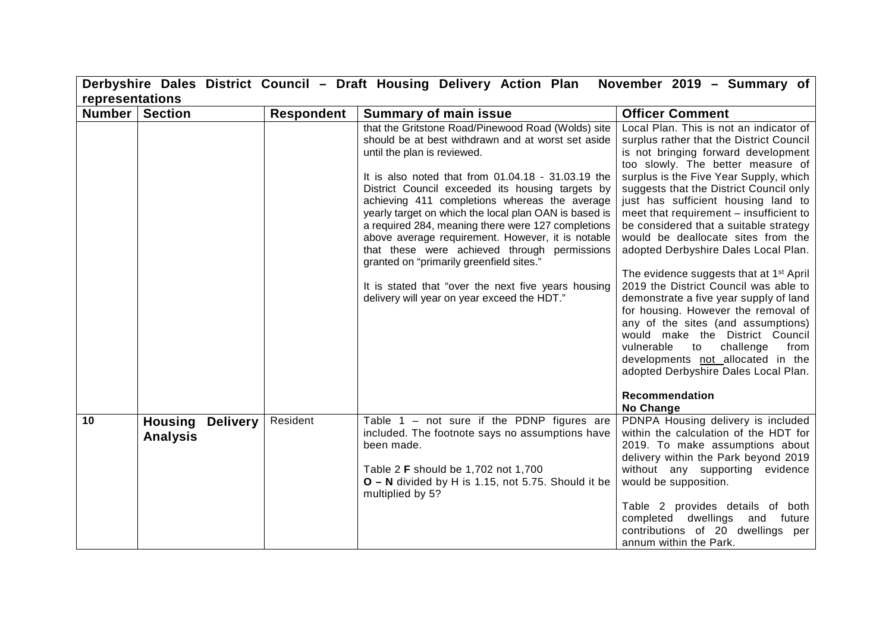|                 |                                            |                   | Derbyshire Dales District Council - Draft Housing Delivery Action Plan                                                                                                                                                                                                                                                                                                                                                                                                                                                                                                                                                                                                   | November 2019 - Summary of                                                                                                                                                                                                                                                                                                                                                                                                                                                                                                                                                                                                                                                                                                                                                                                                                     |
|-----------------|--------------------------------------------|-------------------|--------------------------------------------------------------------------------------------------------------------------------------------------------------------------------------------------------------------------------------------------------------------------------------------------------------------------------------------------------------------------------------------------------------------------------------------------------------------------------------------------------------------------------------------------------------------------------------------------------------------------------------------------------------------------|------------------------------------------------------------------------------------------------------------------------------------------------------------------------------------------------------------------------------------------------------------------------------------------------------------------------------------------------------------------------------------------------------------------------------------------------------------------------------------------------------------------------------------------------------------------------------------------------------------------------------------------------------------------------------------------------------------------------------------------------------------------------------------------------------------------------------------------------|
| representations |                                            |                   |                                                                                                                                                                                                                                                                                                                                                                                                                                                                                                                                                                                                                                                                          |                                                                                                                                                                                                                                                                                                                                                                                                                                                                                                                                                                                                                                                                                                                                                                                                                                                |
| Number          | <b>Section</b>                             | <b>Respondent</b> | <b>Summary of main issue</b>                                                                                                                                                                                                                                                                                                                                                                                                                                                                                                                                                                                                                                             | <b>Officer Comment</b>                                                                                                                                                                                                                                                                                                                                                                                                                                                                                                                                                                                                                                                                                                                                                                                                                         |
|                 |                                            |                   | that the Gritstone Road/Pinewood Road (Wolds) site<br>should be at best withdrawn and at worst set aside<br>until the plan is reviewed.<br>It is also noted that from 01.04.18 - 31.03.19 the<br>District Council exceeded its housing targets by<br>achieving 411 completions whereas the average<br>yearly target on which the local plan OAN is based is<br>a required 284, meaning there were 127 completions<br>above average requirement. However, it is notable<br>that these were achieved through permissions<br>granted on "primarily greenfield sites."<br>It is stated that "over the next five years housing<br>delivery will year on year exceed the HDT." | Local Plan. This is not an indicator of<br>surplus rather that the District Council<br>is not bringing forward development<br>too slowly. The better measure of<br>surplus is the Five Year Supply, which<br>suggests that the District Council only<br>just has sufficient housing land to<br>meet that requirement - insufficient to<br>be considered that a suitable strategy<br>would be deallocate sites from the<br>adopted Derbyshire Dales Local Plan.<br>The evidence suggests that at 1 <sup>st</sup> April<br>2019 the District Council was able to<br>demonstrate a five year supply of land<br>for housing. However the removal of<br>any of the sites (and assumptions)<br>would make the District Council<br>challenge<br>vulnerable<br>to<br>from<br>developments not allocated in the<br>adopted Derbyshire Dales Local Plan. |
|                 |                                            |                   |                                                                                                                                                                                                                                                                                                                                                                                                                                                                                                                                                                                                                                                                          | <b>Recommendation</b><br>No Change                                                                                                                                                                                                                                                                                                                                                                                                                                                                                                                                                                                                                                                                                                                                                                                                             |
| 10              | <b>Housing Delivery</b><br><b>Analysis</b> | Resident          | Table $1 - not sure if the PDNP figures are$<br>included. The footnote says no assumptions have<br>been made.                                                                                                                                                                                                                                                                                                                                                                                                                                                                                                                                                            | PDNPA Housing delivery is included<br>within the calculation of the HDT for<br>2019. To make assumptions about<br>delivery within the Park beyond 2019                                                                                                                                                                                                                                                                                                                                                                                                                                                                                                                                                                                                                                                                                         |
|                 |                                            |                   | Table 2 <b>F</b> should be 1,702 not 1,700<br><b>O</b> – N divided by H is 1.15, not 5.75. Should it be<br>multiplied by 5?                                                                                                                                                                                                                                                                                                                                                                                                                                                                                                                                              | without any supporting evidence<br>would be supposition.<br>Table 2 provides details of both<br>completed dwellings and future<br>contributions of 20 dwellings per<br>annum within the Park.                                                                                                                                                                                                                                                                                                                                                                                                                                                                                                                                                                                                                                                  |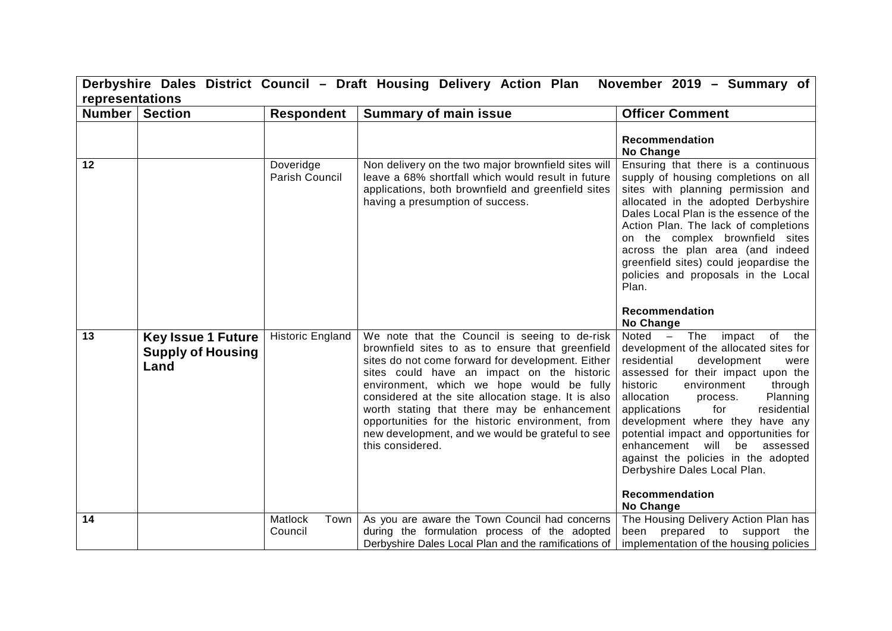|                         | Derbyshire Dales District Council - Draft Housing Delivery Action Plan<br>November 2019 - Summary of |                             |                                                                                                                                                                                                                                                                                                                                                                                                                                                                                     |                                                                                                                                                                                                                                                                                                                                                                                                                                                                                                                          |  |
|-------------------------|------------------------------------------------------------------------------------------------------|-----------------------------|-------------------------------------------------------------------------------------------------------------------------------------------------------------------------------------------------------------------------------------------------------------------------------------------------------------------------------------------------------------------------------------------------------------------------------------------------------------------------------------|--------------------------------------------------------------------------------------------------------------------------------------------------------------------------------------------------------------------------------------------------------------------------------------------------------------------------------------------------------------------------------------------------------------------------------------------------------------------------------------------------------------------------|--|
|                         | representations                                                                                      |                             |                                                                                                                                                                                                                                                                                                                                                                                                                                                                                     |                                                                                                                                                                                                                                                                                                                                                                                                                                                                                                                          |  |
| <b>Number   Section</b> |                                                                                                      | <b>Respondent</b>           | <b>Summary of main issue</b>                                                                                                                                                                                                                                                                                                                                                                                                                                                        | <b>Officer Comment</b>                                                                                                                                                                                                                                                                                                                                                                                                                                                                                                   |  |
|                         |                                                                                                      |                             |                                                                                                                                                                                                                                                                                                                                                                                                                                                                                     | Recommendation<br>No Change                                                                                                                                                                                                                                                                                                                                                                                                                                                                                              |  |
| $\overline{12}$         |                                                                                                      | Doveridge<br>Parish Council | Non delivery on the two major brownfield sites will<br>leave a 68% shortfall which would result in future<br>applications, both brownfield and greenfield sites<br>having a presumption of success.                                                                                                                                                                                                                                                                                 | Ensuring that there is a continuous<br>supply of housing completions on all<br>sites with planning permission and<br>allocated in the adopted Derbyshire<br>Dales Local Plan is the essence of the<br>Action Plan. The lack of completions<br>on the complex brownfield sites<br>across the plan area (and indeed<br>greenfield sites) could jeopardise the<br>policies and proposals in the Local<br>Plan.                                                                                                              |  |
|                         |                                                                                                      |                             |                                                                                                                                                                                                                                                                                                                                                                                                                                                                                     | <b>Recommendation</b><br>No Change                                                                                                                                                                                                                                                                                                                                                                                                                                                                                       |  |
| 13                      | <b>Key Issue 1 Future</b><br><b>Supply of Housing</b><br>Land                                        | <b>Historic England</b>     | We note that the Council is seeing to de-risk<br>brownfield sites to as to ensure that greenfield<br>sites do not come forward for development. Either<br>sites could have an impact on the historic<br>environment, which we hope would be fully<br>considered at the site allocation stage. It is also<br>worth stating that there may be enhancement<br>opportunities for the historic environment, from<br>new development, and we would be grateful to see<br>this considered. | $\overline{\text{Noted}}$ - The impact<br>of the<br>development of the allocated sites for<br>residential<br>development<br>were<br>assessed for their impact upon the<br>historic<br>environment<br>through<br>allocation<br>Planning<br>process.<br>for<br>residential<br>applications<br>development where they have any<br>potential impact and opportunities for<br>enhancement will<br>assessed<br>be<br>against the policies in the adopted<br>Derbyshire Dales Local Plan.<br>Recommendation<br><b>No Change</b> |  |
| 14                      |                                                                                                      | Matlock<br>Town<br>Council  | As you are aware the Town Council had concerns<br>during the formulation process of the adopted<br>Derbyshire Dales Local Plan and the ramifications of                                                                                                                                                                                                                                                                                                                             | The Housing Delivery Action Plan has<br>been prepared to support the<br>implementation of the housing policies                                                                                                                                                                                                                                                                                                                                                                                                           |  |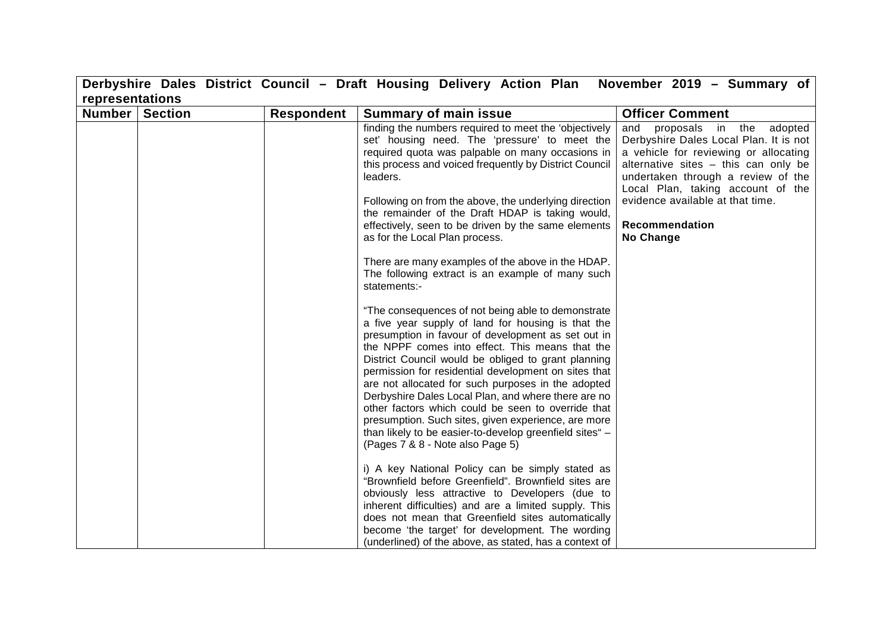|                 |                |            | Derbyshire Dales District Council - Draft Housing Delivery Action Plan November 2019 - Summary of                                                                                                                                                                                                                                                                                                                                                                                                                                                                                                                                                                                                                                                                                                                                                                                                                                                                                                                                                                                                                                                                                                                                                                                                                                                                                                                                                                                                         |                                                                                                                                                                                                                                                                                                          |
|-----------------|----------------|------------|-----------------------------------------------------------------------------------------------------------------------------------------------------------------------------------------------------------------------------------------------------------------------------------------------------------------------------------------------------------------------------------------------------------------------------------------------------------------------------------------------------------------------------------------------------------------------------------------------------------------------------------------------------------------------------------------------------------------------------------------------------------------------------------------------------------------------------------------------------------------------------------------------------------------------------------------------------------------------------------------------------------------------------------------------------------------------------------------------------------------------------------------------------------------------------------------------------------------------------------------------------------------------------------------------------------------------------------------------------------------------------------------------------------------------------------------------------------------------------------------------------------|----------------------------------------------------------------------------------------------------------------------------------------------------------------------------------------------------------------------------------------------------------------------------------------------------------|
| representations |                |            |                                                                                                                                                                                                                                                                                                                                                                                                                                                                                                                                                                                                                                                                                                                                                                                                                                                                                                                                                                                                                                                                                                                                                                                                                                                                                                                                                                                                                                                                                                           |                                                                                                                                                                                                                                                                                                          |
| <b>Number</b>   | <b>Section</b> | Respondent | <b>Summary of main issue</b>                                                                                                                                                                                                                                                                                                                                                                                                                                                                                                                                                                                                                                                                                                                                                                                                                                                                                                                                                                                                                                                                                                                                                                                                                                                                                                                                                                                                                                                                              | <b>Officer Comment</b>                                                                                                                                                                                                                                                                                   |
|                 |                |            | finding the numbers required to meet the 'objectively<br>set' housing need. The 'pressure' to meet the<br>required quota was palpable on many occasions in<br>this process and voiced frequently by District Council<br>leaders.<br>Following on from the above, the underlying direction<br>the remainder of the Draft HDAP is taking would,<br>effectively, seen to be driven by the same elements<br>as for the Local Plan process.<br>There are many examples of the above in the HDAP.<br>The following extract is an example of many such<br>statements:-<br>"The consequences of not being able to demonstrate<br>a five year supply of land for housing is that the<br>presumption in favour of development as set out in<br>the NPPF comes into effect. This means that the<br>District Council would be obliged to grant planning<br>permission for residential development on sites that<br>are not allocated for such purposes in the adopted<br>Derbyshire Dales Local Plan, and where there are no<br>other factors which could be seen to override that<br>presumption. Such sites, given experience, are more<br>than likely to be easier-to-develop greenfield sites" -<br>(Pages 7 & 8 - Note also Page 5)<br>i) A key National Policy can be simply stated as<br>"Brownfield before Greenfield". Brownfield sites are<br>obviously less attractive to Developers (due to<br>inherent difficulties) and are a limited supply. This<br>does not mean that Greenfield sites automatically | proposals in the adopted<br>and<br>Derbyshire Dales Local Plan. It is not<br>a vehicle for reviewing or allocating<br>alternative sites - this can only be<br>undertaken through a review of the<br>Local Plan, taking account of the<br>evidence available at that time.<br>Recommendation<br>No Change |
|                 |                |            | become 'the target' for development. The wording<br>(underlined) of the above, as stated, has a context of                                                                                                                                                                                                                                                                                                                                                                                                                                                                                                                                                                                                                                                                                                                                                                                                                                                                                                                                                                                                                                                                                                                                                                                                                                                                                                                                                                                                |                                                                                                                                                                                                                                                                                                          |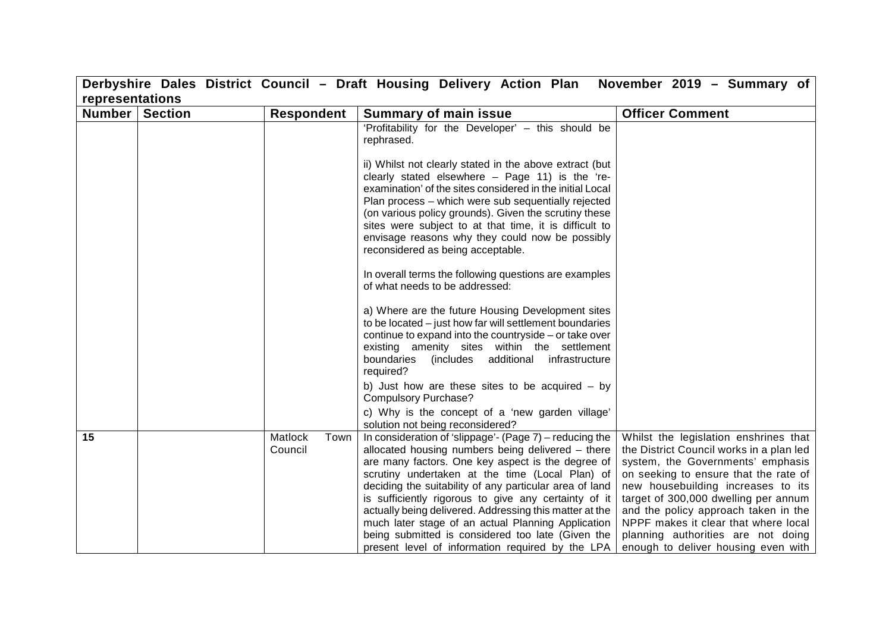| representations<br>Number  <br><b>Section</b><br><b>Officer Comment</b><br><b>Respondent</b><br><b>Summary of main issue</b><br>'Profitability for the Developer' - this should be<br>rephrased.<br>ii) Whilst not clearly stated in the above extract (but<br>clearly stated elsewhere - Page 11) is the 're-<br>examination' of the sites considered in the initial Local<br>Plan process - which were sub sequentially rejected<br>(on various policy grounds). Given the scrutiny these<br>sites were subject to at that time, it is difficult to<br>envisage reasons why they could now be possibly<br>reconsidered as being acceptable.<br>In overall terms the following questions are examples<br>of what needs to be addressed:<br>a) Where are the future Housing Development sites<br>to be located - just how far will settlement boundaries<br>continue to expand into the countryside – or take over<br>existing amenity sites within the settlement<br>(includes additional<br>boundaries<br>infrastructure<br>required?<br>b) Just how are these sites to be acquired $-$ by<br><b>Compulsory Purchase?</b><br>c) Why is the concept of a 'new garden village' |  | Derbyshire Dales District Council - Draft Housing Delivery Action Plan | November 2019 - Summary of                                                                                                                                                                                                                                                                                                                                          |
|--------------------------------------------------------------------------------------------------------------------------------------------------------------------------------------------------------------------------------------------------------------------------------------------------------------------------------------------------------------------------------------------------------------------------------------------------------------------------------------------------------------------------------------------------------------------------------------------------------------------------------------------------------------------------------------------------------------------------------------------------------------------------------------------------------------------------------------------------------------------------------------------------------------------------------------------------------------------------------------------------------------------------------------------------------------------------------------------------------------------------------------------------------------------------------|--|------------------------------------------------------------------------|---------------------------------------------------------------------------------------------------------------------------------------------------------------------------------------------------------------------------------------------------------------------------------------------------------------------------------------------------------------------|
|                                                                                                                                                                                                                                                                                                                                                                                                                                                                                                                                                                                                                                                                                                                                                                                                                                                                                                                                                                                                                                                                                                                                                                                |  |                                                                        |                                                                                                                                                                                                                                                                                                                                                                     |
|                                                                                                                                                                                                                                                                                                                                                                                                                                                                                                                                                                                                                                                                                                                                                                                                                                                                                                                                                                                                                                                                                                                                                                                |  |                                                                        |                                                                                                                                                                                                                                                                                                                                                                     |
|                                                                                                                                                                                                                                                                                                                                                                                                                                                                                                                                                                                                                                                                                                                                                                                                                                                                                                                                                                                                                                                                                                                                                                                |  |                                                                        |                                                                                                                                                                                                                                                                                                                                                                     |
|                                                                                                                                                                                                                                                                                                                                                                                                                                                                                                                                                                                                                                                                                                                                                                                                                                                                                                                                                                                                                                                                                                                                                                                |  |                                                                        |                                                                                                                                                                                                                                                                                                                                                                     |
|                                                                                                                                                                                                                                                                                                                                                                                                                                                                                                                                                                                                                                                                                                                                                                                                                                                                                                                                                                                                                                                                                                                                                                                |  |                                                                        |                                                                                                                                                                                                                                                                                                                                                                     |
|                                                                                                                                                                                                                                                                                                                                                                                                                                                                                                                                                                                                                                                                                                                                                                                                                                                                                                                                                                                                                                                                                                                                                                                |  |                                                                        |                                                                                                                                                                                                                                                                                                                                                                     |
|                                                                                                                                                                                                                                                                                                                                                                                                                                                                                                                                                                                                                                                                                                                                                                                                                                                                                                                                                                                                                                                                                                                                                                                |  |                                                                        |                                                                                                                                                                                                                                                                                                                                                                     |
|                                                                                                                                                                                                                                                                                                                                                                                                                                                                                                                                                                                                                                                                                                                                                                                                                                                                                                                                                                                                                                                                                                                                                                                |  | solution not being reconsidered?                                       |                                                                                                                                                                                                                                                                                                                                                                     |
| 15<br>In consideration of 'slippage'- (Page 7) $-$ reducing the<br>Matlock<br>Town<br>allocated housing numbers being delivered - there<br>Council<br>are many factors. One key aspect is the degree of<br>scrutiny undertaken at the time (Local Plan) of<br>deciding the suitability of any particular area of land<br>is sufficiently rigorous to give any certainty of it<br>actually being delivered. Addressing this matter at the<br>much later stage of an actual Planning Application<br>being submitted is considered too late (Given the                                                                                                                                                                                                                                                                                                                                                                                                                                                                                                                                                                                                                            |  |                                                                        | Whilst the legislation enshrines that<br>the District Council works in a plan led<br>system, the Governments' emphasis<br>on seeking to ensure that the rate of<br>new housebuilding increases to its<br>target of 300,000 dwelling per annum<br>and the policy approach taken in the<br>NPPF makes it clear that where local<br>planning authorities are not doing |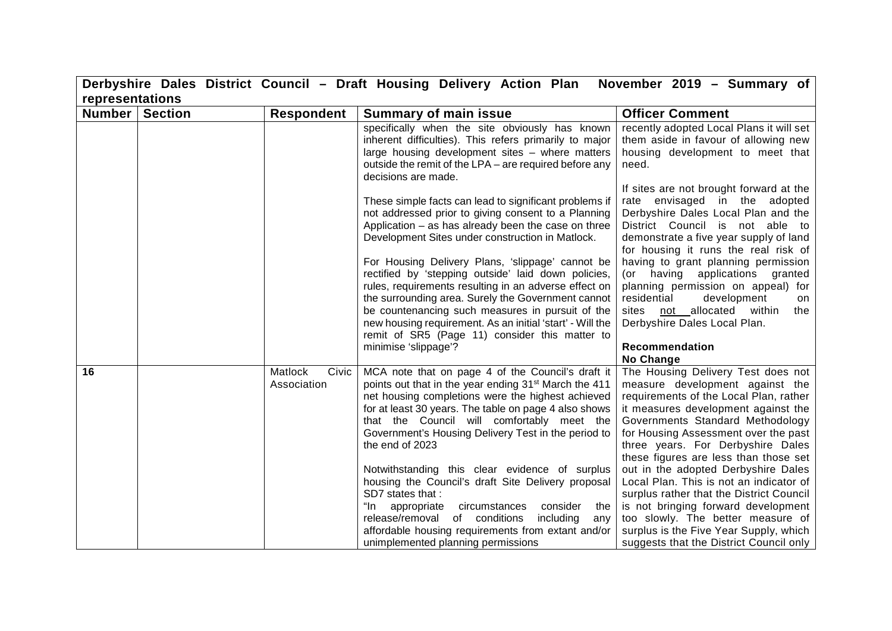|                 |                |                                 | Derbyshire Dales District Council - Draft Housing Delivery Action Plan                                                                                                                                                                                                                                                                                                                                                                                                                                                                                                                                                                                                                              | November 2019 - Summary of                                                                                                                                                                                                                                                                                                                                                                                                                                                                                                                                                                                      |
|-----------------|----------------|---------------------------------|-----------------------------------------------------------------------------------------------------------------------------------------------------------------------------------------------------------------------------------------------------------------------------------------------------------------------------------------------------------------------------------------------------------------------------------------------------------------------------------------------------------------------------------------------------------------------------------------------------------------------------------------------------------------------------------------------------|-----------------------------------------------------------------------------------------------------------------------------------------------------------------------------------------------------------------------------------------------------------------------------------------------------------------------------------------------------------------------------------------------------------------------------------------------------------------------------------------------------------------------------------------------------------------------------------------------------------------|
| representations |                |                                 |                                                                                                                                                                                                                                                                                                                                                                                                                                                                                                                                                                                                                                                                                                     |                                                                                                                                                                                                                                                                                                                                                                                                                                                                                                                                                                                                                 |
| <b>Number</b>   | <b>Section</b> | <b>Respondent</b>               | <b>Summary of main issue</b>                                                                                                                                                                                                                                                                                                                                                                                                                                                                                                                                                                                                                                                                        | <b>Officer Comment</b>                                                                                                                                                                                                                                                                                                                                                                                                                                                                                                                                                                                          |
|                 |                |                                 | specifically when the site obviously has known<br>inherent difficulties). This refers primarily to major<br>large housing development sites - where matters<br>outside the remit of the LPA - are required before any<br>decisions are made.                                                                                                                                                                                                                                                                                                                                                                                                                                                        | recently adopted Local Plans it will set<br>them aside in favour of allowing new<br>housing development to meet that<br>need.                                                                                                                                                                                                                                                                                                                                                                                                                                                                                   |
|                 |                |                                 | These simple facts can lead to significant problems if<br>not addressed prior to giving consent to a Planning<br>Application - as has already been the case on three<br>Development Sites under construction in Matlock.                                                                                                                                                                                                                                                                                                                                                                                                                                                                            | If sites are not brought forward at the<br>rate envisaged in the adopted<br>Derbyshire Dales Local Plan and the<br>District Council is not able to<br>demonstrate a five year supply of land<br>for housing it runs the real risk of                                                                                                                                                                                                                                                                                                                                                                            |
|                 |                |                                 | For Housing Delivery Plans, 'slippage' cannot be<br>rectified by 'stepping outside' laid down policies,<br>rules, requirements resulting in an adverse effect on<br>the surrounding area. Surely the Government cannot<br>be countenancing such measures in pursuit of the<br>new housing requirement. As an initial 'start' - Will the<br>remit of SR5 (Page 11) consider this matter to<br>minimise 'slippage'?                                                                                                                                                                                                                                                                                   | having to grant planning permission<br>(or having<br>applications granted<br>planning permission on appeal) for<br>residential<br>development<br>on<br>sites not allocated within<br>the<br>Derbyshire Dales Local Plan.<br>Recommendation<br>No Change                                                                                                                                                                                                                                                                                                                                                         |
| 16              |                | Matlock<br>Civic<br>Association | MCA note that on page 4 of the Council's draft it<br>points out that in the year ending 31 <sup>st</sup> March the 411<br>net housing completions were the highest achieved<br>for at least 30 years. The table on page 4 also shows<br>that the Council will comfortably meet the<br>Government's Housing Delivery Test in the period to<br>the end of 2023<br>Notwithstanding this clear evidence of surplus<br>housing the Council's draft Site Delivery proposal<br>SD7 states that:<br>"In<br>circumstances<br>consider<br>appropriate<br>the<br>release/removal of conditions<br>including<br>any<br>affordable housing requirements from extant and/or<br>unimplemented planning permissions | The Housing Delivery Test does not<br>measure development against the<br>requirements of the Local Plan, rather<br>it measures development against the<br>Governments Standard Methodology<br>for Housing Assessment over the past<br>three years. For Derbyshire Dales<br>these figures are less than those set<br>out in the adopted Derbyshire Dales<br>Local Plan. This is not an indicator of<br>surplus rather that the District Council<br>is not bringing forward development<br>too slowly. The better measure of<br>surplus is the Five Year Supply, which<br>suggests that the District Council only |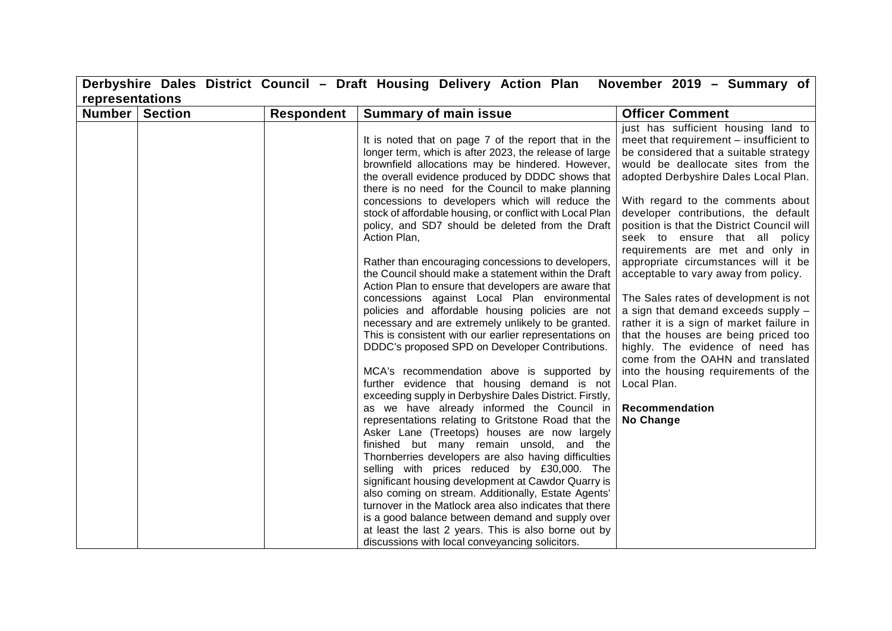|                 |                |                   | Derbyshire Dales District Council - Draft Housing Delivery Action Plan                                                                                                                                                                                                                                                                                                                                                                                                                                                                                                                                                                                                                                                                                                                                                                                                                                                                                                                                                                                                                                                                                                                                                                                                                                                                                                                                                                                                                                                                                                                                   | November 2019 - Summary of                                                                                                                                                                                                                                                                                                                                                                                                                                                                                                                                                                                                                                                                                                                                                                                                 |
|-----------------|----------------|-------------------|----------------------------------------------------------------------------------------------------------------------------------------------------------------------------------------------------------------------------------------------------------------------------------------------------------------------------------------------------------------------------------------------------------------------------------------------------------------------------------------------------------------------------------------------------------------------------------------------------------------------------------------------------------------------------------------------------------------------------------------------------------------------------------------------------------------------------------------------------------------------------------------------------------------------------------------------------------------------------------------------------------------------------------------------------------------------------------------------------------------------------------------------------------------------------------------------------------------------------------------------------------------------------------------------------------------------------------------------------------------------------------------------------------------------------------------------------------------------------------------------------------------------------------------------------------------------------------------------------------|----------------------------------------------------------------------------------------------------------------------------------------------------------------------------------------------------------------------------------------------------------------------------------------------------------------------------------------------------------------------------------------------------------------------------------------------------------------------------------------------------------------------------------------------------------------------------------------------------------------------------------------------------------------------------------------------------------------------------------------------------------------------------------------------------------------------------|
| representations |                |                   |                                                                                                                                                                                                                                                                                                                                                                                                                                                                                                                                                                                                                                                                                                                                                                                                                                                                                                                                                                                                                                                                                                                                                                                                                                                                                                                                                                                                                                                                                                                                                                                                          |                                                                                                                                                                                                                                                                                                                                                                                                                                                                                                                                                                                                                                                                                                                                                                                                                            |
| Number          | <b>Section</b> | <b>Respondent</b> | <b>Summary of main issue</b>                                                                                                                                                                                                                                                                                                                                                                                                                                                                                                                                                                                                                                                                                                                                                                                                                                                                                                                                                                                                                                                                                                                                                                                                                                                                                                                                                                                                                                                                                                                                                                             | <b>Officer Comment</b>                                                                                                                                                                                                                                                                                                                                                                                                                                                                                                                                                                                                                                                                                                                                                                                                     |
|                 |                |                   | It is noted that on page 7 of the report that in the<br>longer term, which is after 2023, the release of large<br>brownfield allocations may be hindered. However,<br>the overall evidence produced by DDDC shows that<br>there is no need for the Council to make planning<br>concessions to developers which will reduce the<br>stock of affordable housing, or conflict with Local Plan<br>policy, and SD7 should be deleted from the Draft<br>Action Plan,<br>Rather than encouraging concessions to developers,<br>the Council should make a statement within the Draft<br>Action Plan to ensure that developers are aware that<br>concessions against Local Plan environmental<br>policies and affordable housing policies are not<br>necessary and are extremely unlikely to be granted.<br>This is consistent with our earlier representations on<br>DDDC's proposed SPD on Developer Contributions.<br>MCA's recommendation above is supported by<br>further evidence that housing demand is not<br>exceeding supply in Derbyshire Dales District. Firstly,<br>as we have already informed the Council in<br>representations relating to Gritstone Road that the<br>Asker Lane (Treetops) houses are now largely<br>finished but many remain unsold, and the<br>Thornberries developers are also having difficulties<br>selling with prices reduced by £30,000. The<br>significant housing development at Cawdor Quarry is<br>also coming on stream. Additionally, Estate Agents'<br>turnover in the Matlock area also indicates that there<br>is a good balance between demand and supply over | just has sufficient housing land to<br>meet that requirement - insufficient to<br>be considered that a suitable strategy<br>would be deallocate sites from the<br>adopted Derbyshire Dales Local Plan.<br>With regard to the comments about<br>developer contributions, the default<br>position is that the District Council will<br>seek to ensure that all policy<br>requirements are met and only in<br>appropriate circumstances will it be<br>acceptable to vary away from policy.<br>The Sales rates of development is not<br>a sign that demand exceeds supply -<br>rather it is a sign of market failure in<br>that the houses are being priced too<br>highly. The evidence of need has<br>come from the OAHN and translated<br>into the housing requirements of the<br>Local Plan.<br>Recommendation<br>No Change |
|                 |                |                   | at least the last 2 years. This is also borne out by<br>discussions with local conveyancing solicitors.                                                                                                                                                                                                                                                                                                                                                                                                                                                                                                                                                                                                                                                                                                                                                                                                                                                                                                                                                                                                                                                                                                                                                                                                                                                                                                                                                                                                                                                                                                  |                                                                                                                                                                                                                                                                                                                                                                                                                                                                                                                                                                                                                                                                                                                                                                                                                            |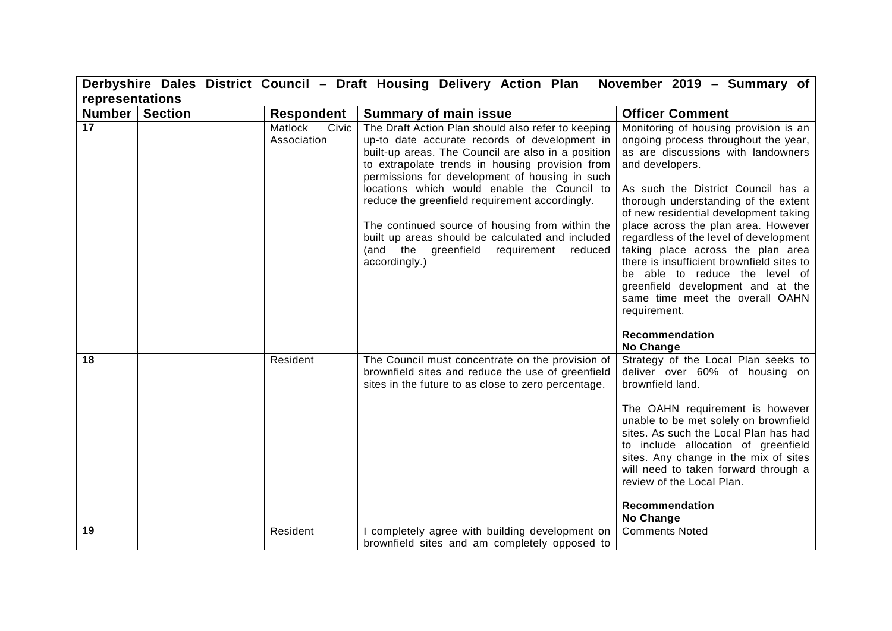|                 |                |                                 | Derbyshire Dales District Council - Draft Housing Delivery Action Plan                                                                                                                                                                                                                                                                                                                                                                                                                                                                | November 2019 - Summary of                                                                                                                                                                                                                                                                                                                                                                                                                                                                                                                                                   |
|-----------------|----------------|---------------------------------|---------------------------------------------------------------------------------------------------------------------------------------------------------------------------------------------------------------------------------------------------------------------------------------------------------------------------------------------------------------------------------------------------------------------------------------------------------------------------------------------------------------------------------------|------------------------------------------------------------------------------------------------------------------------------------------------------------------------------------------------------------------------------------------------------------------------------------------------------------------------------------------------------------------------------------------------------------------------------------------------------------------------------------------------------------------------------------------------------------------------------|
| representations |                |                                 |                                                                                                                                                                                                                                                                                                                                                                                                                                                                                                                                       |                                                                                                                                                                                                                                                                                                                                                                                                                                                                                                                                                                              |
| <b>Number</b>   | <b>Section</b> | <b>Respondent</b>               | <b>Summary of main issue</b>                                                                                                                                                                                                                                                                                                                                                                                                                                                                                                          | <b>Officer Comment</b>                                                                                                                                                                                                                                                                                                                                                                                                                                                                                                                                                       |
| 17              |                | Matlock<br>Civic<br>Association | The Draft Action Plan should also refer to keeping<br>up-to date accurate records of development in<br>built-up areas. The Council are also in a position<br>to extrapolate trends in housing provision from<br>permissions for development of housing in such<br>locations which would enable the Council to<br>reduce the greenfield requirement accordingly.<br>The continued source of housing from within the<br>built up areas should be calculated and included<br>(and the greenfield requirement<br>reduced<br>accordingly.) | Monitoring of housing provision is an<br>ongoing process throughout the year,<br>as are discussions with landowners<br>and developers.<br>As such the District Council has a<br>thorough understanding of the extent<br>of new residential development taking<br>place across the plan area. However<br>regardless of the level of development<br>taking place across the plan area<br>there is insufficient brownfield sites to<br>be able to reduce the level of<br>greenfield development and at the<br>same time meet the overall OAHN<br>requirement.<br>Recommendation |
| 18              |                | Resident                        | The Council must concentrate on the provision of<br>brownfield sites and reduce the use of greenfield<br>sites in the future to as close to zero percentage.                                                                                                                                                                                                                                                                                                                                                                          | No Change<br>Strategy of the Local Plan seeks to<br>deliver over 60% of housing on<br>brownfield land.<br>The OAHN requirement is however<br>unable to be met solely on brownfield<br>sites. As such the Local Plan has had<br>to include allocation of greenfield<br>sites. Any change in the mix of sites<br>will need to taken forward through a<br>review of the Local Plan.<br>Recommendation<br>No Change                                                                                                                                                              |
| 19              |                | Resident                        | completely agree with building development on<br>brownfield sites and am completely opposed to                                                                                                                                                                                                                                                                                                                                                                                                                                        | <b>Comments Noted</b>                                                                                                                                                                                                                                                                                                                                                                                                                                                                                                                                                        |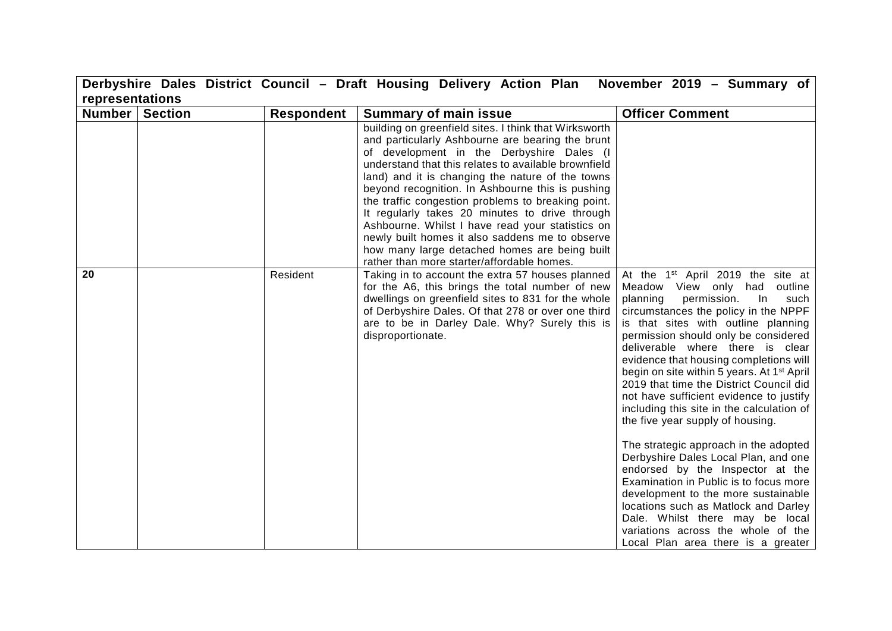|                 |                |                   | Derbyshire Dales District Council - Draft Housing Delivery Action Plan                                                                                                                                                                                                                                                                                                                                                                                                                                                                                                                                                               | November 2019 - Summary of                                                                                                                                                                                                                                                                                                                                                                                                                                                                                                                                                                                                                                                                                                                                                                                                                                                                                                |
|-----------------|----------------|-------------------|--------------------------------------------------------------------------------------------------------------------------------------------------------------------------------------------------------------------------------------------------------------------------------------------------------------------------------------------------------------------------------------------------------------------------------------------------------------------------------------------------------------------------------------------------------------------------------------------------------------------------------------|---------------------------------------------------------------------------------------------------------------------------------------------------------------------------------------------------------------------------------------------------------------------------------------------------------------------------------------------------------------------------------------------------------------------------------------------------------------------------------------------------------------------------------------------------------------------------------------------------------------------------------------------------------------------------------------------------------------------------------------------------------------------------------------------------------------------------------------------------------------------------------------------------------------------------|
| representations |                |                   |                                                                                                                                                                                                                                                                                                                                                                                                                                                                                                                                                                                                                                      |                                                                                                                                                                                                                                                                                                                                                                                                                                                                                                                                                                                                                                                                                                                                                                                                                                                                                                                           |
| Number          | <b>Section</b> | <b>Respondent</b> | <b>Summary of main issue</b>                                                                                                                                                                                                                                                                                                                                                                                                                                                                                                                                                                                                         | <b>Officer Comment</b>                                                                                                                                                                                                                                                                                                                                                                                                                                                                                                                                                                                                                                                                                                                                                                                                                                                                                                    |
|                 |                |                   | building on greenfield sites. I think that Wirksworth<br>and particularly Ashbourne are bearing the brunt<br>of development in the Derbyshire Dales (I<br>understand that this relates to available brownfield<br>land) and it is changing the nature of the towns<br>beyond recognition. In Ashbourne this is pushing<br>the traffic congestion problems to breaking point.<br>It regularly takes 20 minutes to drive through<br>Ashbourne. Whilst I have read your statistics on<br>newly built homes it also saddens me to observe<br>how many large detached homes are being built<br>rather than more starter/affordable homes. |                                                                                                                                                                                                                                                                                                                                                                                                                                                                                                                                                                                                                                                                                                                                                                                                                                                                                                                           |
| 20              |                | Resident          | Taking in to account the extra 57 houses planned<br>for the A6, this brings the total number of new<br>dwellings on greenfield sites to 831 for the whole<br>of Derbyshire Dales. Of that 278 or over one third<br>are to be in Darley Dale. Why? Surely this is<br>disproportionate.                                                                                                                                                                                                                                                                                                                                                | At the 1 <sup>st</sup> April 2019 the site at<br>Meadow View only had outline<br>permission.<br>planning<br>In<br>such<br>circumstances the policy in the NPPF<br>is that sites with outline planning<br>permission should only be considered<br>deliverable where there is clear<br>evidence that housing completions will<br>begin on site within 5 years. At 1 <sup>st</sup> April<br>2019 that time the District Council did<br>not have sufficient evidence to justify<br>including this site in the calculation of<br>the five year supply of housing.<br>The strategic approach in the adopted<br>Derbyshire Dales Local Plan, and one<br>endorsed by the Inspector at the<br>Examination in Public is to focus more<br>development to the more sustainable<br>locations such as Matlock and Darley<br>Dale. Whilst there may be local<br>variations across the whole of the<br>Local Plan area there is a greater |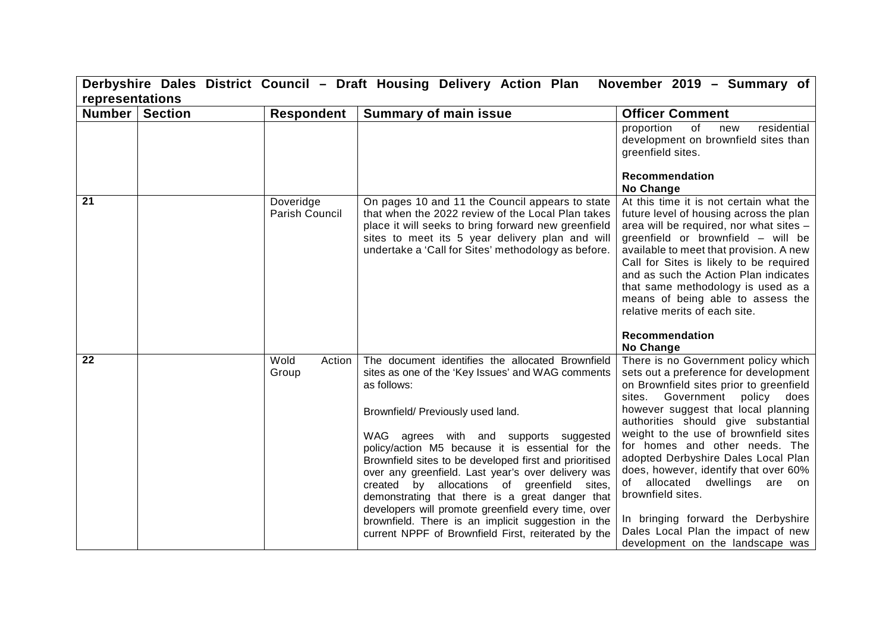|                 | Derbyshire Dales District Council - Draft Housing Delivery Action Plan<br>November 2019 - Summary of |                             |                                                                                                                                                                                                                                                                                                                                                                                                                                                                                                                                                                                                                                                  |                                                                                                                                                                                                                                                                                                                                                                                                                                                                                                                                                                                     |  |
|-----------------|------------------------------------------------------------------------------------------------------|-----------------------------|--------------------------------------------------------------------------------------------------------------------------------------------------------------------------------------------------------------------------------------------------------------------------------------------------------------------------------------------------------------------------------------------------------------------------------------------------------------------------------------------------------------------------------------------------------------------------------------------------------------------------------------------------|-------------------------------------------------------------------------------------------------------------------------------------------------------------------------------------------------------------------------------------------------------------------------------------------------------------------------------------------------------------------------------------------------------------------------------------------------------------------------------------------------------------------------------------------------------------------------------------|--|
| representations |                                                                                                      |                             |                                                                                                                                                                                                                                                                                                                                                                                                                                                                                                                                                                                                                                                  |                                                                                                                                                                                                                                                                                                                                                                                                                                                                                                                                                                                     |  |
| <b>Number</b>   | <b>Section</b>                                                                                       | <b>Respondent</b>           | <b>Summary of main issue</b>                                                                                                                                                                                                                                                                                                                                                                                                                                                                                                                                                                                                                     | <b>Officer Comment</b>                                                                                                                                                                                                                                                                                                                                                                                                                                                                                                                                                              |  |
|                 |                                                                                                      |                             |                                                                                                                                                                                                                                                                                                                                                                                                                                                                                                                                                                                                                                                  | of<br>residential<br>proportion<br>new<br>development on brownfield sites than<br>greenfield sites.<br>Recommendation<br>No Change                                                                                                                                                                                                                                                                                                                                                                                                                                                  |  |
| 21              |                                                                                                      | Doveridge<br>Parish Council | On pages 10 and 11 the Council appears to state<br>that when the 2022 review of the Local Plan takes<br>place it will seeks to bring forward new greenfield<br>sites to meet its 5 year delivery plan and will<br>undertake a 'Call for Sites' methodology as before.                                                                                                                                                                                                                                                                                                                                                                            | At this time it is not certain what the<br>future level of housing across the plan<br>area will be required, nor what sites -<br>greenfield or brownfield - will be<br>available to meet that provision. A new<br>Call for Sites is likely to be required<br>and as such the Action Plan indicates<br>that same methodology is used as a<br>means of being able to assess the<br>relative merits of each site.<br>Recommendation<br>No Change                                                                                                                                       |  |
| 22              |                                                                                                      | Wold<br>Action<br>Group     | The document identifies the allocated Brownfield<br>sites as one of the 'Key Issues' and WAG comments<br>as follows:<br>Brownfield/ Previously used land.<br>WAG agrees with and supports suggested<br>policy/action M5 because it is essential for the<br>Brownfield sites to be developed first and prioritised<br>over any greenfield. Last year's over delivery was<br>by allocations of greenfield sites,<br>created<br>demonstrating that there is a great danger that<br>developers will promote greenfield every time, over<br>brownfield. There is an implicit suggestion in the<br>current NPPF of Brownfield First, reiterated by the | There is no Government policy which<br>sets out a preference for development<br>on Brownfield sites prior to greenfield<br>Government<br>policy does<br>sites.<br>however suggest that local planning<br>authorities should give substantial<br>weight to the use of brownfield sites<br>for homes and other needs. The<br>adopted Derbyshire Dales Local Plan<br>does, however, identify that over 60%<br>of allocated dwellings<br>are<br>on<br>brownfield sites.<br>In bringing forward the Derbyshire<br>Dales Local Plan the impact of new<br>development on the landscape was |  |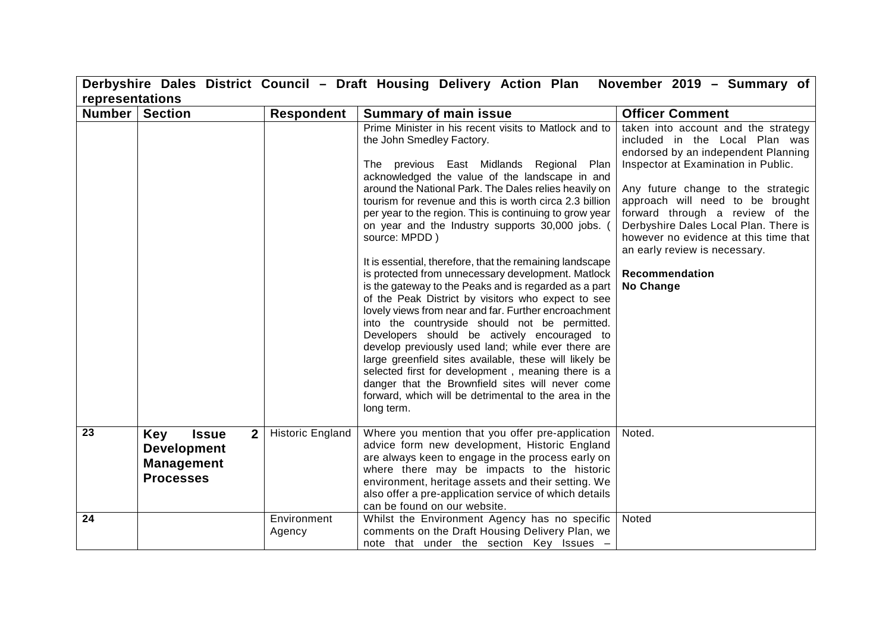|                 |                                                                                  |                         | Derbyshire Dales District Council - Draft Housing Delivery Action Plan November 2019 - Summary of                                                                                                                                                                                                                                                                                                                                                                                                                                                                                                                                                                                                                                                                                                                                                                                                                                                                                                                                                                                                                              |                                                                                                                                                                                                                                                                                                                                                                                                                    |
|-----------------|----------------------------------------------------------------------------------|-------------------------|--------------------------------------------------------------------------------------------------------------------------------------------------------------------------------------------------------------------------------------------------------------------------------------------------------------------------------------------------------------------------------------------------------------------------------------------------------------------------------------------------------------------------------------------------------------------------------------------------------------------------------------------------------------------------------------------------------------------------------------------------------------------------------------------------------------------------------------------------------------------------------------------------------------------------------------------------------------------------------------------------------------------------------------------------------------------------------------------------------------------------------|--------------------------------------------------------------------------------------------------------------------------------------------------------------------------------------------------------------------------------------------------------------------------------------------------------------------------------------------------------------------------------------------------------------------|
| representations |                                                                                  |                         |                                                                                                                                                                                                                                                                                                                                                                                                                                                                                                                                                                                                                                                                                                                                                                                                                                                                                                                                                                                                                                                                                                                                |                                                                                                                                                                                                                                                                                                                                                                                                                    |
| <b>Number</b>   | <b>Section</b>                                                                   | <b>Respondent</b>       | <b>Summary of main issue</b>                                                                                                                                                                                                                                                                                                                                                                                                                                                                                                                                                                                                                                                                                                                                                                                                                                                                                                                                                                                                                                                                                                   | <b>Officer Comment</b>                                                                                                                                                                                                                                                                                                                                                                                             |
|                 |                                                                                  |                         | Prime Minister in his recent visits to Matlock and to<br>the John Smedley Factory.<br>The previous East Midlands Regional Plan<br>acknowledged the value of the landscape in and<br>around the National Park. The Dales relies heavily on<br>tourism for revenue and this is worth circa 2.3 billion<br>per year to the region. This is continuing to grow year<br>on year and the Industry supports 30,000 jobs. (<br>source: MPDD)<br>It is essential, therefore, that the remaining landscape<br>is protected from unnecessary development. Matlock<br>is the gateway to the Peaks and is regarded as a part<br>of the Peak District by visitors who expect to see<br>lovely views from near and far. Further encroachment<br>into the countryside should not be permitted.<br>Developers should be actively encouraged to<br>develop previously used land; while ever there are<br>large greenfield sites available, these will likely be<br>selected first for development, meaning there is a<br>danger that the Brownfield sites will never come<br>forward, which will be detrimental to the area in the<br>long term. | taken into account and the strategy<br>included in the Local Plan was<br>endorsed by an independent Planning<br>Inspector at Examination in Public.<br>Any future change to the strategic<br>approach will need to be brought<br>forward through a review of the<br>Derbyshire Dales Local Plan. There is<br>however no evidence at this time that<br>an early review is necessary.<br>Recommendation<br>No Change |
| 23              | <b>Issue</b><br>2 <sup>1</sup><br>Key<br><b>Development</b><br><b>Management</b> | <b>Historic England</b> | Where you mention that you offer pre-application<br>advice form new development, Historic England<br>are always keen to engage in the process early on                                                                                                                                                                                                                                                                                                                                                                                                                                                                                                                                                                                                                                                                                                                                                                                                                                                                                                                                                                         | Noted.                                                                                                                                                                                                                                                                                                                                                                                                             |
|                 | <b>Processes</b>                                                                 |                         | where there may be impacts to the historic<br>environment, heritage assets and their setting. We<br>also offer a pre-application service of which details<br>can be found on our website.                                                                                                                                                                                                                                                                                                                                                                                                                                                                                                                                                                                                                                                                                                                                                                                                                                                                                                                                      |                                                                                                                                                                                                                                                                                                                                                                                                                    |
| 24              |                                                                                  | Environment<br>Agency   | Whilst the Environment Agency has no specific<br>comments on the Draft Housing Delivery Plan, we                                                                                                                                                                                                                                                                                                                                                                                                                                                                                                                                                                                                                                                                                                                                                                                                                                                                                                                                                                                                                               | Noted                                                                                                                                                                                                                                                                                                                                                                                                              |
|                 |                                                                                  |                         | note that under the section Key Issues -                                                                                                                                                                                                                                                                                                                                                                                                                                                                                                                                                                                                                                                                                                                                                                                                                                                                                                                                                                                                                                                                                       |                                                                                                                                                                                                                                                                                                                                                                                                                    |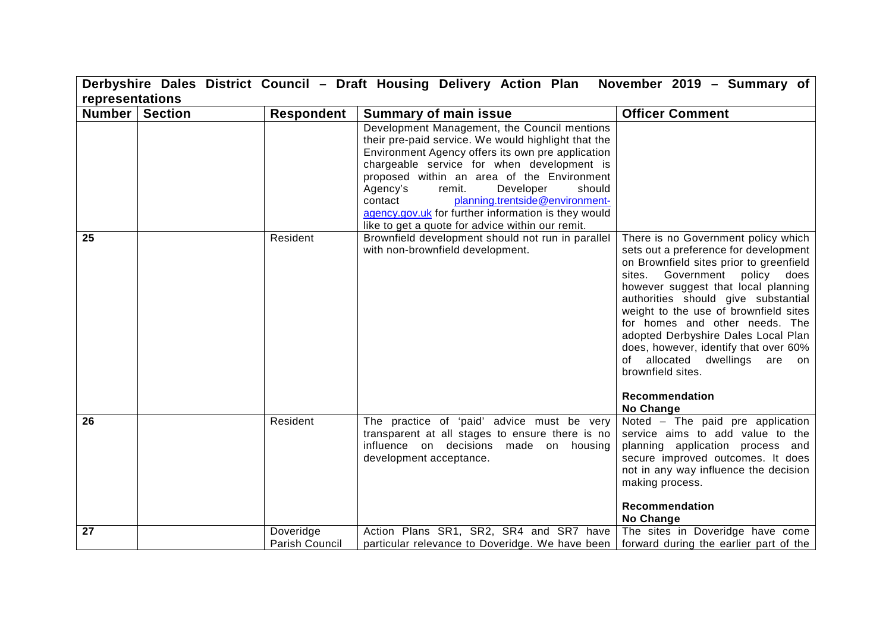|                 | Derbyshire Dales District Council - Draft Housing Delivery Action Plan<br>November 2019 - Summary of |                             |                                                                                                                                                                                                                                                                                                                                                                                                                                                            |                                                                                                                                                                                                                                                                                                                                                                                                                                                                                           |
|-----------------|------------------------------------------------------------------------------------------------------|-----------------------------|------------------------------------------------------------------------------------------------------------------------------------------------------------------------------------------------------------------------------------------------------------------------------------------------------------------------------------------------------------------------------------------------------------------------------------------------------------|-------------------------------------------------------------------------------------------------------------------------------------------------------------------------------------------------------------------------------------------------------------------------------------------------------------------------------------------------------------------------------------------------------------------------------------------------------------------------------------------|
| representations |                                                                                                      |                             |                                                                                                                                                                                                                                                                                                                                                                                                                                                            |                                                                                                                                                                                                                                                                                                                                                                                                                                                                                           |
| Number          | <b>Section</b>                                                                                       | <b>Respondent</b>           | <b>Summary of main issue</b>                                                                                                                                                                                                                                                                                                                                                                                                                               | <b>Officer Comment</b>                                                                                                                                                                                                                                                                                                                                                                                                                                                                    |
|                 |                                                                                                      |                             | Development Management, the Council mentions<br>their pre-paid service. We would highlight that the<br>Environment Agency offers its own pre application<br>chargeable service for when development is<br>proposed within an area of the Environment<br>Developer<br>Agency's<br>remit.<br>should<br>planning.trentside@environment-<br>contact<br>agency.gov.uk for further information is they would<br>like to get a quote for advice within our remit. |                                                                                                                                                                                                                                                                                                                                                                                                                                                                                           |
| 25              |                                                                                                      | Resident                    | Brownfield development should not run in parallel<br>with non-brownfield development.                                                                                                                                                                                                                                                                                                                                                                      | There is no Government policy which<br>sets out a preference for development<br>on Brownfield sites prior to greenfield<br>sites. Government policy does<br>however suggest that local planning<br>authorities should give substantial<br>weight to the use of brownfield sites<br>for homes and other needs. The<br>adopted Derbyshire Dales Local Plan<br>does, however, identify that over 60%<br>of allocated dwellings<br>are on<br>brownfield sites.<br>Recommendation<br>No Change |
| 26              |                                                                                                      | Resident                    | The practice of 'paid' advice must be very<br>transparent at all stages to ensure there is no<br>influence on decisions made on housing<br>development acceptance.                                                                                                                                                                                                                                                                                         | Noted - The paid pre application<br>service aims to add value to the<br>planning application process and<br>secure improved outcomes. It does<br>not in any way influence the decision<br>making process.<br>Recommendation<br>No Change                                                                                                                                                                                                                                                  |
| 27              |                                                                                                      | Doveridge<br>Parish Council | Action Plans SR1, SR2, SR4 and SR7 have<br>particular relevance to Doveridge. We have been                                                                                                                                                                                                                                                                                                                                                                 | The sites in Doveridge have come<br>forward during the earlier part of the                                                                                                                                                                                                                                                                                                                                                                                                                |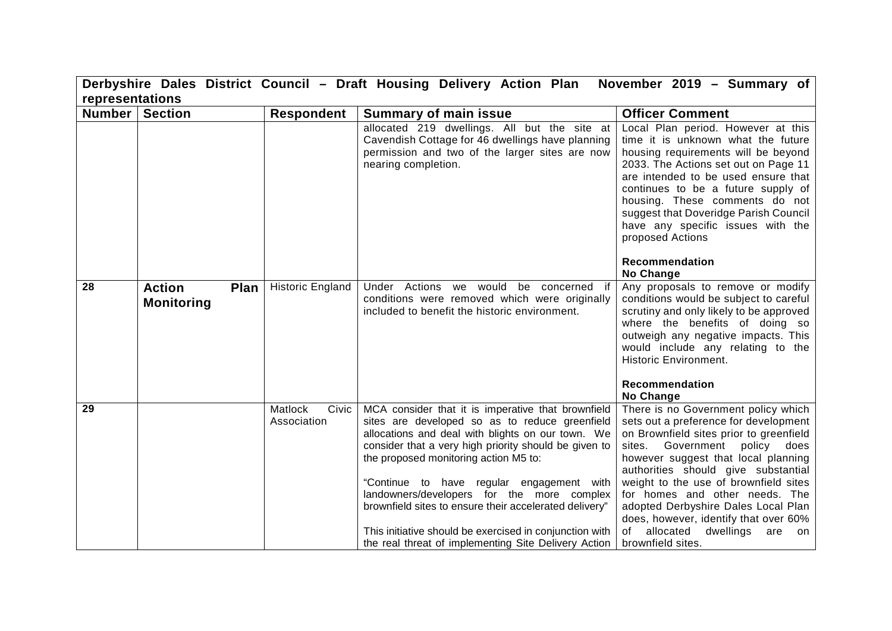|                 |                                            |                                 | Derbyshire Dales District Council - Draft Housing Delivery Action Plan                                                                                                                                                                                                                                                                                                                                                                                                                                                              | November 2019 - Summary of                                                                                                                                                                                                                                                                                                                                                                                                                                          |
|-----------------|--------------------------------------------|---------------------------------|-------------------------------------------------------------------------------------------------------------------------------------------------------------------------------------------------------------------------------------------------------------------------------------------------------------------------------------------------------------------------------------------------------------------------------------------------------------------------------------------------------------------------------------|---------------------------------------------------------------------------------------------------------------------------------------------------------------------------------------------------------------------------------------------------------------------------------------------------------------------------------------------------------------------------------------------------------------------------------------------------------------------|
| representations |                                            |                                 |                                                                                                                                                                                                                                                                                                                                                                                                                                                                                                                                     |                                                                                                                                                                                                                                                                                                                                                                                                                                                                     |
| Number          | <b>Section</b>                             | <b>Respondent</b>               | <b>Summary of main issue</b>                                                                                                                                                                                                                                                                                                                                                                                                                                                                                                        | <b>Officer Comment</b>                                                                                                                                                                                                                                                                                                                                                                                                                                              |
|                 |                                            |                                 | allocated 219 dwellings. All but the site at<br>Cavendish Cottage for 46 dwellings have planning<br>permission and two of the larger sites are now<br>nearing completion.                                                                                                                                                                                                                                                                                                                                                           | Local Plan period. However at this<br>time it is unknown what the future<br>housing requirements will be beyond<br>2033. The Actions set out on Page 11<br>are intended to be used ensure that<br>continues to be a future supply of<br>housing. These comments do not<br>suggest that Doveridge Parish Council<br>have any specific issues with the<br>proposed Actions<br>Recommendation                                                                          |
|                 |                                            |                                 |                                                                                                                                                                                                                                                                                                                                                                                                                                                                                                                                     | No Change                                                                                                                                                                                                                                                                                                                                                                                                                                                           |
| 28              | <b>Action</b><br>Plan<br><b>Monitoring</b> | <b>Historic England</b>         | Under Actions we would be concerned if<br>conditions were removed which were originally<br>included to benefit the historic environment.                                                                                                                                                                                                                                                                                                                                                                                            | Any proposals to remove or modify<br>conditions would be subject to careful<br>scrutiny and only likely to be approved<br>where the benefits of doing so<br>outweigh any negative impacts. This<br>would include any relating to the<br><b>Historic Environment.</b><br>Recommendation<br>No Change                                                                                                                                                                 |
| 29              |                                            | Matlock<br>Civic<br>Association | MCA consider that it is imperative that brownfield<br>sites are developed so as to reduce greenfield<br>allocations and deal with blights on our town. We<br>consider that a very high priority should be given to<br>the proposed monitoring action M5 to:<br>"Continue to have regular engagement with<br>landowners/developers for the more complex<br>brownfield sites to ensure their accelerated delivery"<br>This initiative should be exercised in conjunction with<br>the real threat of implementing Site Delivery Action | There is no Government policy which<br>sets out a preference for development<br>on Brownfield sites prior to greenfield<br>Government policy does<br>sites.<br>however suggest that local planning<br>authorities should give substantial<br>weight to the use of brownfield sites<br>for homes and other needs. The<br>adopted Derbyshire Dales Local Plan<br>does, however, identify that over 60%<br>allocated dwellings<br>of<br>are<br>on<br>brownfield sites. |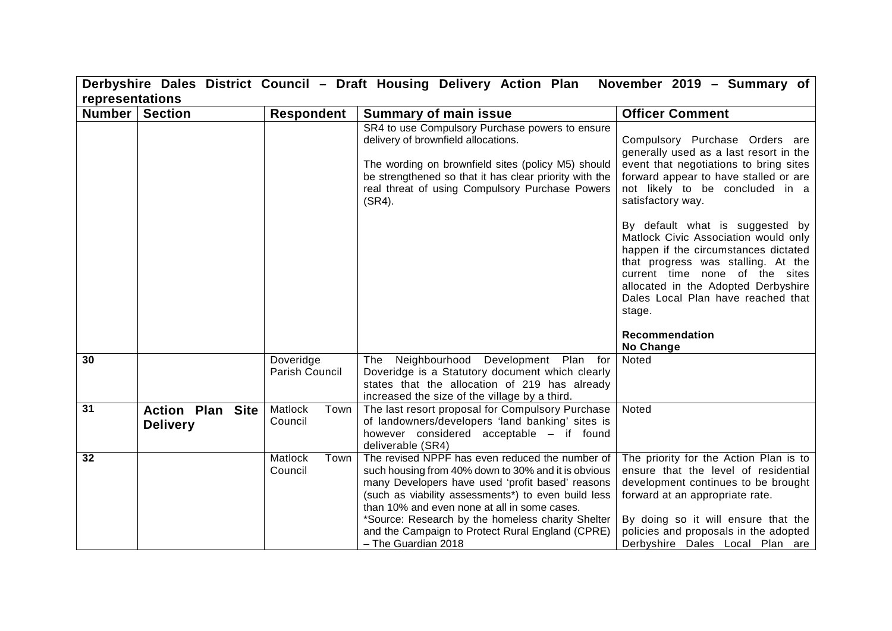|                 |                                            |                            | Derbyshire Dales District Council - Draft Housing Delivery Action Plan                                                                                                                                                                                                                                                                                                                            | November 2019 - Summary of                                                                                                                                                                                                                                                                       |
|-----------------|--------------------------------------------|----------------------------|---------------------------------------------------------------------------------------------------------------------------------------------------------------------------------------------------------------------------------------------------------------------------------------------------------------------------------------------------------------------------------------------------|--------------------------------------------------------------------------------------------------------------------------------------------------------------------------------------------------------------------------------------------------------------------------------------------------|
| representations |                                            |                            |                                                                                                                                                                                                                                                                                                                                                                                                   |                                                                                                                                                                                                                                                                                                  |
| <b>Number</b>   | <b>Section</b>                             | <b>Respondent</b>          | <b>Summary of main issue</b>                                                                                                                                                                                                                                                                                                                                                                      | <b>Officer Comment</b>                                                                                                                                                                                                                                                                           |
|                 |                                            |                            | SR4 to use Compulsory Purchase powers to ensure<br>delivery of brownfield allocations.<br>The wording on brownfield sites (policy M5) should<br>be strengthened so that it has clear priority with the<br>real threat of using Compulsory Purchase Powers<br>$(SR4)$ .                                                                                                                            | Compulsory Purchase Orders are<br>generally used as a last resort in the<br>event that negotiations to bring sites<br>forward appear to have stalled or are<br>not likely to be concluded in a<br>satisfactory way.                                                                              |
|                 |                                            |                            |                                                                                                                                                                                                                                                                                                                                                                                                   | By default what is suggested by<br>Matlock Civic Association would only<br>happen if the circumstances dictated<br>that progress was stalling. At the<br>current time none of the sites<br>allocated in the Adopted Derbyshire<br>Dales Local Plan have reached that<br>stage.<br>Recommendation |
| 30              |                                            | Doveridge                  | Neighbourhood Development Plan for<br><b>The</b>                                                                                                                                                                                                                                                                                                                                                  | No Change<br>Noted                                                                                                                                                                                                                                                                               |
|                 |                                            | Parish Council             | Doveridge is a Statutory document which clearly                                                                                                                                                                                                                                                                                                                                                   |                                                                                                                                                                                                                                                                                                  |
|                 |                                            |                            | states that the allocation of 219 has already<br>increased the size of the village by a third.                                                                                                                                                                                                                                                                                                    |                                                                                                                                                                                                                                                                                                  |
| 31              | <b>Action Plan Site</b><br><b>Delivery</b> | Matlock<br>Town<br>Council | The last resort proposal for Compulsory Purchase<br>of landowners/developers 'land banking' sites is<br>however considered acceptable - if found<br>deliverable (SR4)                                                                                                                                                                                                                             | Noted                                                                                                                                                                                                                                                                                            |
| 32              |                                            | Matlock<br>Town<br>Council | The revised NPPF has even reduced the number of<br>such housing from 40% down to 30% and it is obvious<br>many Developers have used 'profit based' reasons<br>(such as viability assessments*) to even build less<br>than 10% and even none at all in some cases.<br>*Source: Research by the homeless charity Shelter<br>and the Campaign to Protect Rural England (CPRE)<br>- The Guardian 2018 | The priority for the Action Plan is to<br>ensure that the level of residential<br>development continues to be brought<br>forward at an appropriate rate.<br>By doing so it will ensure that the<br>policies and proposals in the adopted<br>Derbyshire Dales Local Plan are                      |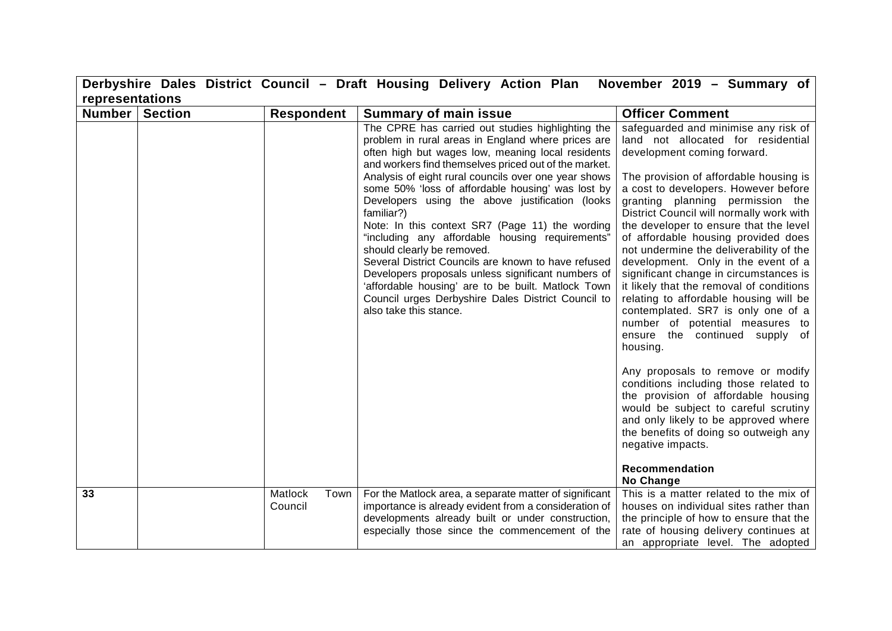|                 |                |                            | Derbyshire Dales District Council - Draft Housing Delivery Action Plan                                                                                                                                                                                                                                                                                                                                                                                                                                                                                                                                                                                                                                                                                                                     | November 2019 - Summary of                                                                                                                                                                                                                                                                                                                                                                                                                                                                                                                                                                                                                                                                            |
|-----------------|----------------|----------------------------|--------------------------------------------------------------------------------------------------------------------------------------------------------------------------------------------------------------------------------------------------------------------------------------------------------------------------------------------------------------------------------------------------------------------------------------------------------------------------------------------------------------------------------------------------------------------------------------------------------------------------------------------------------------------------------------------------------------------------------------------------------------------------------------------|-------------------------------------------------------------------------------------------------------------------------------------------------------------------------------------------------------------------------------------------------------------------------------------------------------------------------------------------------------------------------------------------------------------------------------------------------------------------------------------------------------------------------------------------------------------------------------------------------------------------------------------------------------------------------------------------------------|
| representations |                |                            |                                                                                                                                                                                                                                                                                                                                                                                                                                                                                                                                                                                                                                                                                                                                                                                            |                                                                                                                                                                                                                                                                                                                                                                                                                                                                                                                                                                                                                                                                                                       |
| <b>Number</b>   | <b>Section</b> | <b>Respondent</b>          | <b>Summary of main issue</b>                                                                                                                                                                                                                                                                                                                                                                                                                                                                                                                                                                                                                                                                                                                                                               | <b>Officer Comment</b>                                                                                                                                                                                                                                                                                                                                                                                                                                                                                                                                                                                                                                                                                |
|                 |                |                            | The CPRE has carried out studies highlighting the<br>problem in rural areas in England where prices are<br>often high but wages low, meaning local residents<br>and workers find themselves priced out of the market.<br>Analysis of eight rural councils over one year shows<br>some 50% 'loss of affordable housing' was lost by<br>Developers using the above justification (looks<br>familiar?)<br>Note: In this context SR7 (Page 11) the wording<br>"including any affordable housing requirements"<br>should clearly be removed.<br>Several District Councils are known to have refused<br>Developers proposals unless significant numbers of<br>'affordable housing' are to be built. Matlock Town<br>Council urges Derbyshire Dales District Council to<br>also take this stance. | safeguarded and minimise any risk of<br>land not allocated for residential<br>development coming forward.<br>The provision of affordable housing is<br>a cost to developers. However before<br>granting planning permission the<br>District Council will normally work with<br>the developer to ensure that the level<br>of affordable housing provided does<br>not undermine the deliverability of the<br>development. Only in the event of a<br>significant change in circumstances is<br>it likely that the removal of conditions<br>relating to affordable housing will be<br>contemplated. SR7 is only one of a<br>number of potential measures to<br>ensure the continued supply of<br>housing. |
|                 |                |                            |                                                                                                                                                                                                                                                                                                                                                                                                                                                                                                                                                                                                                                                                                                                                                                                            | Any proposals to remove or modify<br>conditions including those related to<br>the provision of affordable housing<br>would be subject to careful scrutiny<br>and only likely to be approved where<br>the benefits of doing so outweigh any<br>negative impacts.<br>Recommendation<br>No Change                                                                                                                                                                                                                                                                                                                                                                                                        |
| 33              |                | Matlock<br>Town<br>Council | For the Matlock area, a separate matter of significant<br>importance is already evident from a consideration of<br>developments already built or under construction,<br>especially those since the commencement of the                                                                                                                                                                                                                                                                                                                                                                                                                                                                                                                                                                     | This is a matter related to the mix of<br>houses on individual sites rather than<br>the principle of how to ensure that the<br>rate of housing delivery continues at<br>an appropriate level. The adopted                                                                                                                                                                                                                                                                                                                                                                                                                                                                                             |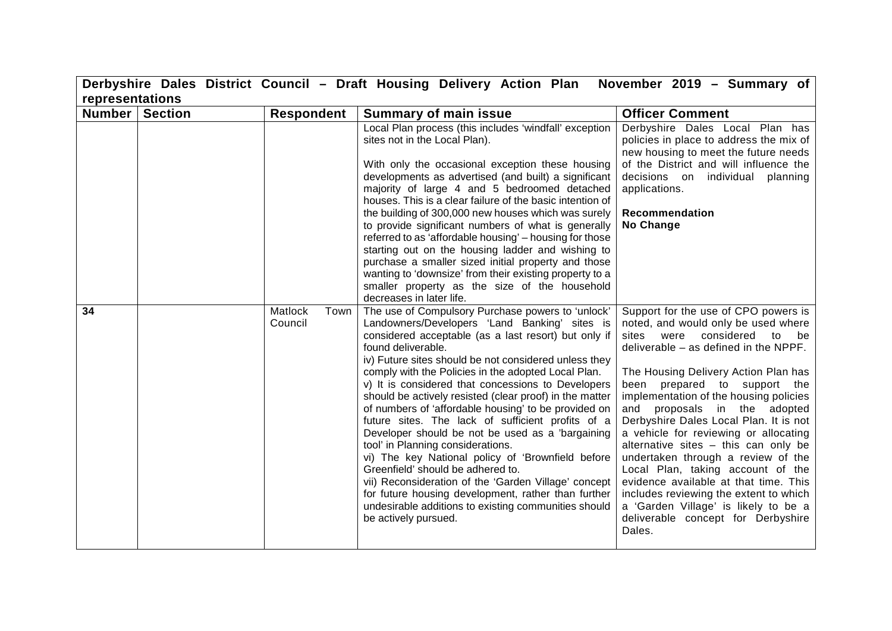|        |                 |                            | Derbyshire Dales District Council - Draft Housing Delivery Action Plan                                                                                                                                                                                                                                                                                                                                                                                                                                                                                                                                                                                                                                                                                                                                                                                                                                           | November 2019 - Summary of                                                                                                                                                                                                                                                                                                                                                                                                                                                                                                                                                                                                                                                                |  |  |
|--------|-----------------|----------------------------|------------------------------------------------------------------------------------------------------------------------------------------------------------------------------------------------------------------------------------------------------------------------------------------------------------------------------------------------------------------------------------------------------------------------------------------------------------------------------------------------------------------------------------------------------------------------------------------------------------------------------------------------------------------------------------------------------------------------------------------------------------------------------------------------------------------------------------------------------------------------------------------------------------------|-------------------------------------------------------------------------------------------------------------------------------------------------------------------------------------------------------------------------------------------------------------------------------------------------------------------------------------------------------------------------------------------------------------------------------------------------------------------------------------------------------------------------------------------------------------------------------------------------------------------------------------------------------------------------------------------|--|--|
|        | representations |                            |                                                                                                                                                                                                                                                                                                                                                                                                                                                                                                                                                                                                                                                                                                                                                                                                                                                                                                                  |                                                                                                                                                                                                                                                                                                                                                                                                                                                                                                                                                                                                                                                                                           |  |  |
| Number | <b>Section</b>  | <b>Respondent</b>          | <b>Summary of main issue</b>                                                                                                                                                                                                                                                                                                                                                                                                                                                                                                                                                                                                                                                                                                                                                                                                                                                                                     | <b>Officer Comment</b>                                                                                                                                                                                                                                                                                                                                                                                                                                                                                                                                                                                                                                                                    |  |  |
|        |                 |                            | Local Plan process (this includes 'windfall' exception<br>sites not in the Local Plan).<br>With only the occasional exception these housing<br>developments as advertised (and built) a significant<br>majority of large 4 and 5 bedroomed detached<br>houses. This is a clear failure of the basic intention of<br>the building of 300,000 new houses which was surely<br>to provide significant numbers of what is generally<br>referred to as 'affordable housing' - housing for those<br>starting out on the housing ladder and wishing to<br>purchase a smaller sized initial property and those<br>wanting to 'downsize' from their existing property to a<br>smaller property as the size of the household<br>decreases in later life.                                                                                                                                                                    | Derbyshire Dales Local Plan has<br>policies in place to address the mix of<br>new housing to meet the future needs<br>of the District and will influence the<br>decisions on individual planning<br>applications.<br>Recommendation<br>No Change                                                                                                                                                                                                                                                                                                                                                                                                                                          |  |  |
| 34     |                 | Matlock<br>Town<br>Council | The use of Compulsory Purchase powers to 'unlock'<br>Landowners/Developers 'Land Banking' sites is<br>considered acceptable (as a last resort) but only if<br>found deliverable.<br>iv) Future sites should be not considered unless they<br>comply with the Policies in the adopted Local Plan.<br>v) It is considered that concessions to Developers<br>should be actively resisted (clear proof) in the matter<br>of numbers of 'affordable housing' to be provided on<br>future sites. The lack of sufficient profits of a<br>Developer should be not be used as a 'bargaining<br>tool' in Planning considerations.<br>vi) The key National policy of 'Brownfield before<br>Greenfield' should be adhered to.<br>vii) Reconsideration of the 'Garden Village' concept<br>for future housing development, rather than further<br>undesirable additions to existing communities should<br>be actively pursued. | Support for the use of CPO powers is<br>noted, and would only be used where<br>sites were considered<br>to be<br>deliverable - as defined in the NPPF.<br>The Housing Delivery Action Plan has<br>been prepared to support the<br>implementation of the housing policies<br>and proposals in the adopted<br>Derbyshire Dales Local Plan. It is not<br>a vehicle for reviewing or allocating<br>alternative sites - this can only be<br>undertaken through a review of the<br>Local Plan, taking account of the<br>evidence available at that time. This<br>includes reviewing the extent to which<br>a 'Garden Village' is likely to be a<br>deliverable concept for Derbyshire<br>Dales. |  |  |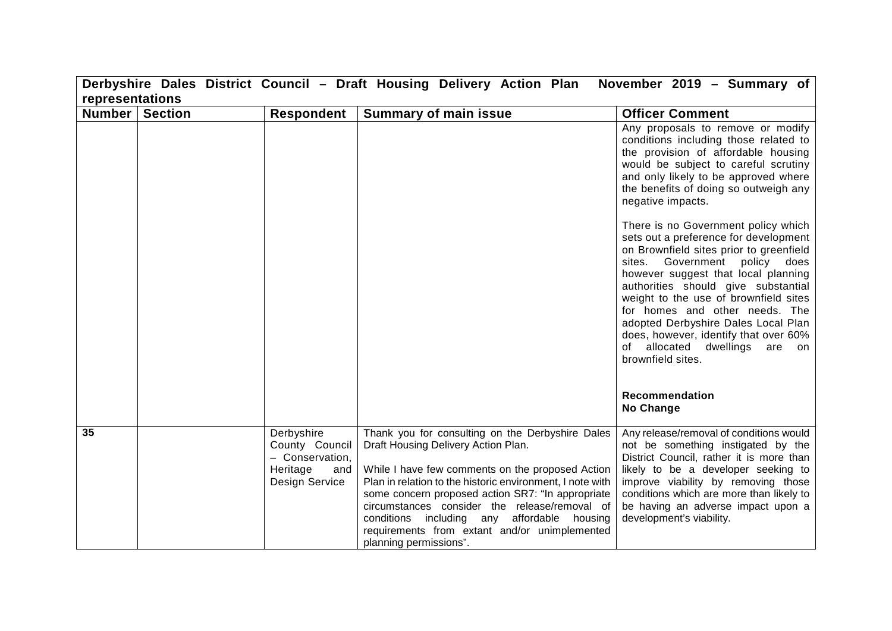| Derbyshire Dales District Council - Draft Housing Delivery Action Plan<br>November 2019 - Summary of |  |                                                                                      |                                                                                                                                                                                                                                                                                                                                                                                                                                          |                                                                                                                                                                                                                                                                                                                                                                                                                                                            |  |
|------------------------------------------------------------------------------------------------------|--|--------------------------------------------------------------------------------------|------------------------------------------------------------------------------------------------------------------------------------------------------------------------------------------------------------------------------------------------------------------------------------------------------------------------------------------------------------------------------------------------------------------------------------------|------------------------------------------------------------------------------------------------------------------------------------------------------------------------------------------------------------------------------------------------------------------------------------------------------------------------------------------------------------------------------------------------------------------------------------------------------------|--|
| representations                                                                                      |  |                                                                                      |                                                                                                                                                                                                                                                                                                                                                                                                                                          |                                                                                                                                                                                                                                                                                                                                                                                                                                                            |  |
| Number Section                                                                                       |  | Respondent                                                                           | <b>Summary of main issue</b>                                                                                                                                                                                                                                                                                                                                                                                                             | <b>Officer Comment</b>                                                                                                                                                                                                                                                                                                                                                                                                                                     |  |
|                                                                                                      |  |                                                                                      |                                                                                                                                                                                                                                                                                                                                                                                                                                          | Any proposals to remove or modify<br>conditions including those related to<br>the provision of affordable housing<br>would be subject to careful scrutiny<br>and only likely to be approved where<br>the benefits of doing so outweigh any<br>negative impacts.                                                                                                                                                                                            |  |
|                                                                                                      |  |                                                                                      |                                                                                                                                                                                                                                                                                                                                                                                                                                          | There is no Government policy which<br>sets out a preference for development<br>on Brownfield sites prior to greenfield<br>sites. Government policy does<br>however suggest that local planning<br>authorities should give substantial<br>weight to the use of brownfield sites<br>for homes and other needs. The<br>adopted Derbyshire Dales Local Plan<br>does, however, identify that over 60%<br>of allocated dwellings<br>are on<br>brownfield sites. |  |
|                                                                                                      |  |                                                                                      |                                                                                                                                                                                                                                                                                                                                                                                                                                          | <b>Recommendation</b><br>No Change                                                                                                                                                                                                                                                                                                                                                                                                                         |  |
| 35                                                                                                   |  | Derbyshire<br>County Council<br>- Conservation,<br>Heritage<br>and<br>Design Service | Thank you for consulting on the Derbyshire Dales<br>Draft Housing Delivery Action Plan.<br>While I have few comments on the proposed Action<br>Plan in relation to the historic environment, I note with<br>some concern proposed action SR7: "In appropriate<br>circumstances consider the release/removal of<br>conditions including any affordable housing<br>requirements from extant and/or unimplemented<br>planning permissions". | Any release/removal of conditions would<br>not be something instigated by the<br>District Council, rather it is more than<br>likely to be a developer seeking to<br>improve viability by removing those<br>conditions which are more than likely to<br>be having an adverse impact upon a<br>development's viability.                                                                                                                                      |  |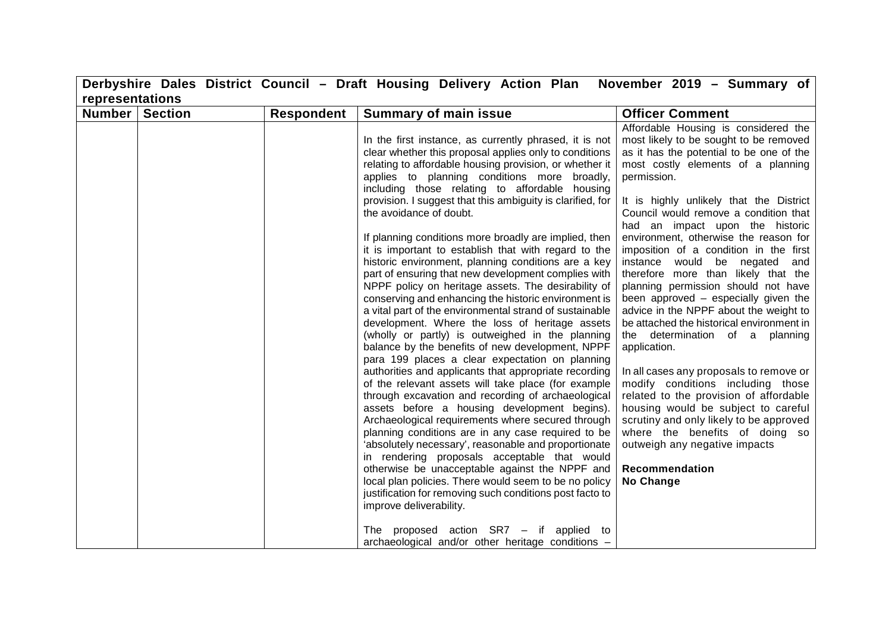|        |                 |                   | Derbyshire Dales District Council - Draft Housing Delivery Action Plan                                                                                                                                                                                                                                                                                                                                                                                                                                                                                                                                                                                                                                                                                                                                                                                                                                                                                                                                                                                                                                                                                                                                                                                                                                                                                                                                                                                                                                                                                                                                                                                                                 | November 2019 - Summary of                                                                                                                                                                                                                                                                                                                                                                                                                                                                                                                                                                                                                                                                                                                                                                                                                                                                                                                                                                               |  |  |
|--------|-----------------|-------------------|----------------------------------------------------------------------------------------------------------------------------------------------------------------------------------------------------------------------------------------------------------------------------------------------------------------------------------------------------------------------------------------------------------------------------------------------------------------------------------------------------------------------------------------------------------------------------------------------------------------------------------------------------------------------------------------------------------------------------------------------------------------------------------------------------------------------------------------------------------------------------------------------------------------------------------------------------------------------------------------------------------------------------------------------------------------------------------------------------------------------------------------------------------------------------------------------------------------------------------------------------------------------------------------------------------------------------------------------------------------------------------------------------------------------------------------------------------------------------------------------------------------------------------------------------------------------------------------------------------------------------------------------------------------------------------------|----------------------------------------------------------------------------------------------------------------------------------------------------------------------------------------------------------------------------------------------------------------------------------------------------------------------------------------------------------------------------------------------------------------------------------------------------------------------------------------------------------------------------------------------------------------------------------------------------------------------------------------------------------------------------------------------------------------------------------------------------------------------------------------------------------------------------------------------------------------------------------------------------------------------------------------------------------------------------------------------------------|--|--|
|        | representations |                   |                                                                                                                                                                                                                                                                                                                                                                                                                                                                                                                                                                                                                                                                                                                                                                                                                                                                                                                                                                                                                                                                                                                                                                                                                                                                                                                                                                                                                                                                                                                                                                                                                                                                                        |                                                                                                                                                                                                                                                                                                                                                                                                                                                                                                                                                                                                                                                                                                                                                                                                                                                                                                                                                                                                          |  |  |
| Number | <b>Section</b>  | <b>Respondent</b> | <b>Summary of main issue</b>                                                                                                                                                                                                                                                                                                                                                                                                                                                                                                                                                                                                                                                                                                                                                                                                                                                                                                                                                                                                                                                                                                                                                                                                                                                                                                                                                                                                                                                                                                                                                                                                                                                           | <b>Officer Comment</b>                                                                                                                                                                                                                                                                                                                                                                                                                                                                                                                                                                                                                                                                                                                                                                                                                                                                                                                                                                                   |  |  |
|        |                 |                   | In the first instance, as currently phrased, it is not<br>clear whether this proposal applies only to conditions<br>relating to affordable housing provision, or whether it<br>applies to planning conditions more broadly,<br>including those relating to affordable housing<br>provision. I suggest that this ambiguity is clarified, for<br>the avoidance of doubt.<br>If planning conditions more broadly are implied, then<br>it is important to establish that with regard to the<br>historic environment, planning conditions are a key<br>part of ensuring that new development complies with<br>NPPF policy on heritage assets. The desirability of<br>conserving and enhancing the historic environment is<br>a vital part of the environmental strand of sustainable<br>development. Where the loss of heritage assets<br>(wholly or partly) is outweighed in the planning<br>balance by the benefits of new development, NPPF<br>para 199 places a clear expectation on planning<br>authorities and applicants that appropriate recording<br>of the relevant assets will take place (for example<br>through excavation and recording of archaeological<br>assets before a housing development begins).<br>Archaeological requirements where secured through<br>planning conditions are in any case required to be<br>'absolutely necessary', reasonable and proportionate<br>in rendering proposals acceptable that would<br>otherwise be unacceptable against the NPPF and<br>local plan policies. There would seem to be no policy<br>justification for removing such conditions post facto to<br>improve deliverability.<br>The proposed action $S R7 - i f$ applied to | Affordable Housing is considered the<br>most likely to be sought to be removed<br>as it has the potential to be one of the<br>most costly elements of a planning<br>permission.<br>It is highly unlikely that the District<br>Council would remove a condition that<br>had an impact upon the historic<br>environment, otherwise the reason for<br>imposition of a condition in the first<br>instance would be negated and<br>therefore more than likely that the<br>planning permission should not have<br>been approved - especially given the<br>advice in the NPPF about the weight to<br>be attached the historical environment in<br>the determination of a planning<br>application.<br>In all cases any proposals to remove or<br>modify conditions including those<br>related to the provision of affordable<br>housing would be subject to careful<br>scrutiny and only likely to be approved<br>where the benefits of doing so<br>outweigh any negative impacts<br>Recommendation<br>No Change |  |  |
|        |                 |                   | archaeological and/or other heritage conditions -                                                                                                                                                                                                                                                                                                                                                                                                                                                                                                                                                                                                                                                                                                                                                                                                                                                                                                                                                                                                                                                                                                                                                                                                                                                                                                                                                                                                                                                                                                                                                                                                                                      |                                                                                                                                                                                                                                                                                                                                                                                                                                                                                                                                                                                                                                                                                                                                                                                                                                                                                                                                                                                                          |  |  |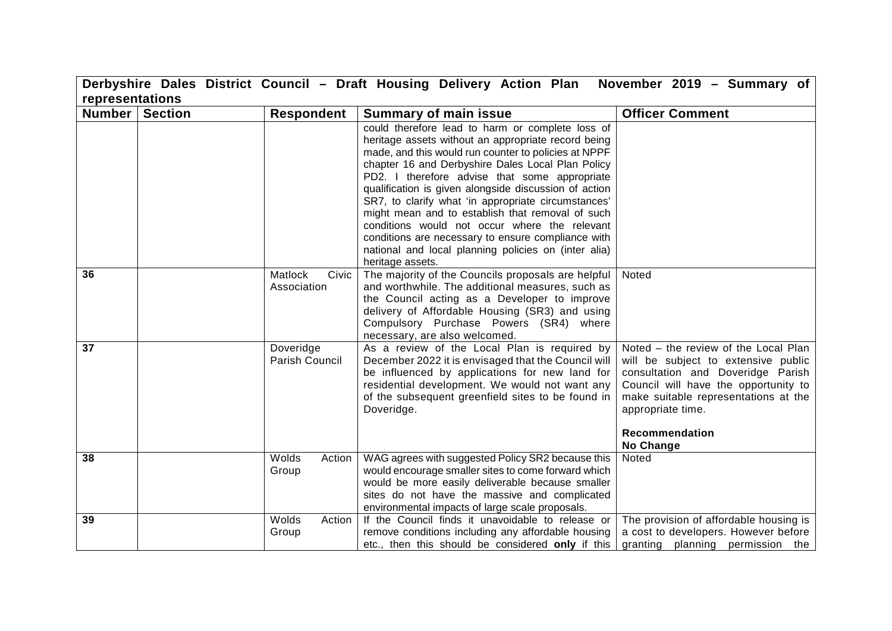|                         |                                 | Derbyshire Dales District Council - Draft Housing Delivery Action Plan November 2019 - Summary of                                                                                                                                                                                                                                                                                                                                                                                                                                                                                                                            |                                                                                                                                                                                                                                                      |
|-------------------------|---------------------------------|------------------------------------------------------------------------------------------------------------------------------------------------------------------------------------------------------------------------------------------------------------------------------------------------------------------------------------------------------------------------------------------------------------------------------------------------------------------------------------------------------------------------------------------------------------------------------------------------------------------------------|------------------------------------------------------------------------------------------------------------------------------------------------------------------------------------------------------------------------------------------------------|
| representations         |                                 |                                                                                                                                                                                                                                                                                                                                                                                                                                                                                                                                                                                                                              |                                                                                                                                                                                                                                                      |
| <b>Number   Section</b> | <b>Respondent</b>               | <b>Summary of main issue</b>                                                                                                                                                                                                                                                                                                                                                                                                                                                                                                                                                                                                 | <b>Officer Comment</b>                                                                                                                                                                                                                               |
|                         |                                 | could therefore lead to harm or complete loss of<br>heritage assets without an appropriate record being<br>made, and this would run counter to policies at NPPF<br>chapter 16 and Derbyshire Dales Local Plan Policy<br>PD2. I therefore advise that some appropriate<br>qualification is given alongside discussion of action<br>SR7, to clarify what 'in appropriate circumstances'<br>might mean and to establish that removal of such<br>conditions would not occur where the relevant<br>conditions are necessary to ensure compliance with<br>national and local planning policies on (inter alia)<br>heritage assets. |                                                                                                                                                                                                                                                      |
| 36                      | Matlock<br>Civic<br>Association | The majority of the Councils proposals are helpful<br>and worthwhile. The additional measures, such as<br>the Council acting as a Developer to improve<br>delivery of Affordable Housing (SR3) and using<br>Compulsory Purchase Powers (SR4) where<br>necessary, are also welcomed.                                                                                                                                                                                                                                                                                                                                          | Noted                                                                                                                                                                                                                                                |
| 37                      | Doveridge<br>Parish Council     | As a review of the Local Plan is required by<br>December 2022 it is envisaged that the Council will<br>be influenced by applications for new land for<br>residential development. We would not want any<br>of the subsequent greenfield sites to be found in<br>Doveridge.                                                                                                                                                                                                                                                                                                                                                   | Noted - the review of the Local Plan<br>will be subject to extensive public<br>consultation and Doveridge Parish<br>Council will have the opportunity to<br>make suitable representations at the<br>appropriate time.<br>Recommendation<br>No Change |
| 38                      | Wolds<br>Action<br>Group        | WAG agrees with suggested Policy SR2 because this<br>would encourage smaller sites to come forward which<br>would be more easily deliverable because smaller<br>sites do not have the massive and complicated<br>environmental impacts of large scale proposals.                                                                                                                                                                                                                                                                                                                                                             | Noted                                                                                                                                                                                                                                                |
| 39                      | Wolds<br>Action<br>Group        | If the Council finds it unavoidable to release or<br>remove conditions including any affordable housing<br>etc., then this should be considered only if this                                                                                                                                                                                                                                                                                                                                                                                                                                                                 | The provision of affordable housing is<br>a cost to developers. However before<br>granting planning permission the                                                                                                                                   |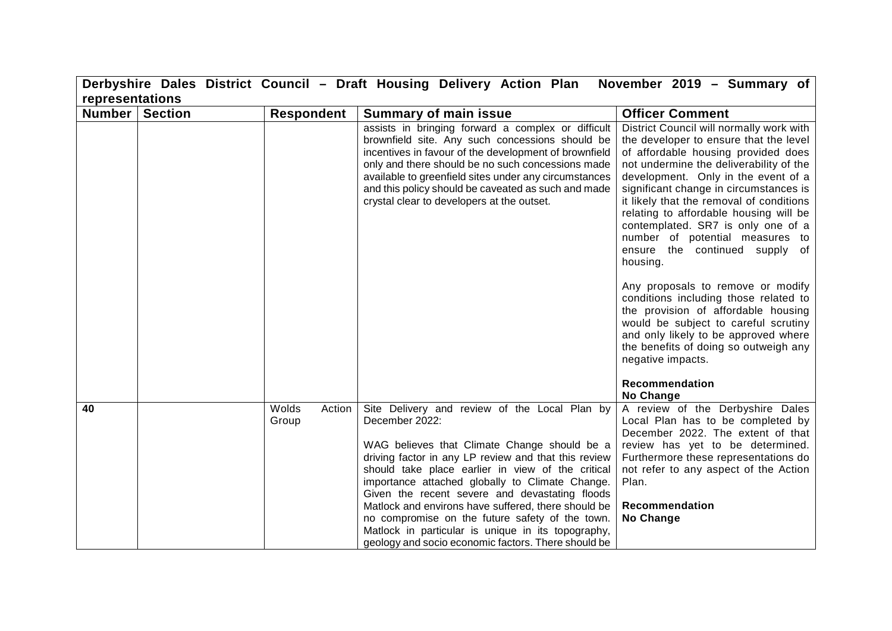|                            |                          | Derbyshire Dales District Council - Draft Housing Delivery Action Plan                                                                                                                                                                                                                                                                                                                                                                                                                            | November 2019 - Summary of                                                                                                                                                                                                                                                                                                                                                                                                                                         |
|----------------------------|--------------------------|---------------------------------------------------------------------------------------------------------------------------------------------------------------------------------------------------------------------------------------------------------------------------------------------------------------------------------------------------------------------------------------------------------------------------------------------------------------------------------------------------|--------------------------------------------------------------------------------------------------------------------------------------------------------------------------------------------------------------------------------------------------------------------------------------------------------------------------------------------------------------------------------------------------------------------------------------------------------------------|
| representations            |                          |                                                                                                                                                                                                                                                                                                                                                                                                                                                                                                   |                                                                                                                                                                                                                                                                                                                                                                                                                                                                    |
| Number  <br><b>Section</b> | <b>Respondent</b>        | <b>Summary of main issue</b>                                                                                                                                                                                                                                                                                                                                                                                                                                                                      | <b>Officer Comment</b>                                                                                                                                                                                                                                                                                                                                                                                                                                             |
|                            |                          | assists in bringing forward a complex or difficult<br>brownfield site. Any such concessions should be<br>incentives in favour of the development of brownfield<br>only and there should be no such concessions made<br>available to greenfield sites under any circumstances<br>and this policy should be caveated as such and made<br>crystal clear to developers at the outset.                                                                                                                 | District Council will normally work with<br>the developer to ensure that the level<br>of affordable housing provided does<br>not undermine the deliverability of the<br>development. Only in the event of a<br>significant change in circumstances is<br>it likely that the removal of conditions<br>relating to affordable housing will be<br>contemplated. SR7 is only one of a<br>number of potential measures to<br>ensure the continued supply of<br>housing. |
|                            |                          |                                                                                                                                                                                                                                                                                                                                                                                                                                                                                                   | Any proposals to remove or modify<br>conditions including those related to<br>the provision of affordable housing<br>would be subject to careful scrutiny<br>and only likely to be approved where<br>the benefits of doing so outweigh any<br>negative impacts.<br>Recommendation                                                                                                                                                                                  |
|                            |                          |                                                                                                                                                                                                                                                                                                                                                                                                                                                                                                   | No Change                                                                                                                                                                                                                                                                                                                                                                                                                                                          |
| 40                         | Wolds<br>Action<br>Group | Site Delivery and review of the Local Plan by<br>December 2022:<br>WAG believes that Climate Change should be a<br>driving factor in any LP review and that this review<br>should take place earlier in view of the critical<br>importance attached globally to Climate Change.<br>Given the recent severe and devastating floods<br>Matlock and environs have suffered, there should be<br>no compromise on the future safety of the town.<br>Matlock in particular is unique in its topography, | A review of the Derbyshire Dales<br>Local Plan has to be completed by<br>December 2022. The extent of that<br>review has yet to be determined.<br>Furthermore these representations do<br>not refer to any aspect of the Action<br>Plan.<br>Recommendation<br>No Change                                                                                                                                                                                            |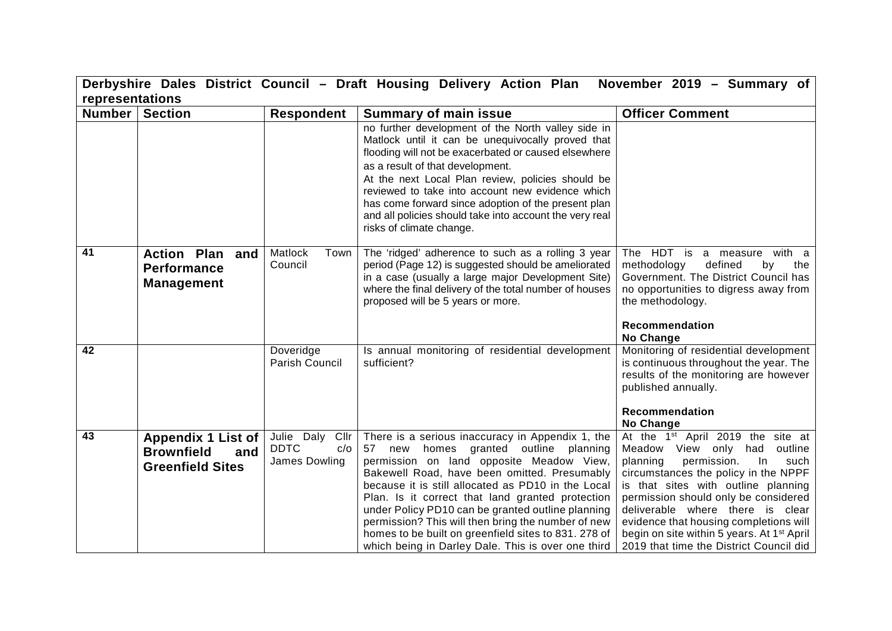|                 | Derbyshire Dales District Council - Draft Housing Delivery Action Plan November 2019 - Summary of |                                                        |                                                                                                                                                                                                                                                                                                                                                                                                                                                                                                                          |                                                                                                                                                                                                                                                                                                                                                                                                                                      |  |
|-----------------|---------------------------------------------------------------------------------------------------|--------------------------------------------------------|--------------------------------------------------------------------------------------------------------------------------------------------------------------------------------------------------------------------------------------------------------------------------------------------------------------------------------------------------------------------------------------------------------------------------------------------------------------------------------------------------------------------------|--------------------------------------------------------------------------------------------------------------------------------------------------------------------------------------------------------------------------------------------------------------------------------------------------------------------------------------------------------------------------------------------------------------------------------------|--|
| representations |                                                                                                   |                                                        |                                                                                                                                                                                                                                                                                                                                                                                                                                                                                                                          |                                                                                                                                                                                                                                                                                                                                                                                                                                      |  |
| Number          | <b>Section</b>                                                                                    | <b>Respondent</b>                                      | <b>Summary of main issue</b>                                                                                                                                                                                                                                                                                                                                                                                                                                                                                             | <b>Officer Comment</b>                                                                                                                                                                                                                                                                                                                                                                                                               |  |
|                 |                                                                                                   |                                                        | no further development of the North valley side in<br>Matlock until it can be unequivocally proved that<br>flooding will not be exacerbated or caused elsewhere<br>as a result of that development.<br>At the next Local Plan review, policies should be<br>reviewed to take into account new evidence which<br>has come forward since adoption of the present plan<br>and all policies should take into account the very real<br>risks of climate change.                                                               |                                                                                                                                                                                                                                                                                                                                                                                                                                      |  |
| 41              | <b>Action Plan</b><br>and<br><b>Performance</b><br><b>Management</b>                              | Matlock<br>Town<br>Council                             | The 'ridged' adherence to such as a rolling 3 year<br>period (Page 12) is suggested should be ameliorated<br>in a case (usually a large major Development Site)<br>where the final delivery of the total number of houses<br>proposed will be 5 years or more.                                                                                                                                                                                                                                                           | The HDT is a measure with a<br>defined<br>methodology<br>by<br>the<br>Government. The District Council has<br>no opportunities to digress away from<br>the methodology.<br>Recommendation<br>No Change                                                                                                                                                                                                                               |  |
| 42              |                                                                                                   | Doveridge<br>Parish Council                            | Is annual monitoring of residential development<br>sufficient?                                                                                                                                                                                                                                                                                                                                                                                                                                                           | Monitoring of residential development<br>is continuous throughout the year. The<br>results of the monitoring are however<br>published annually.<br>Recommendation<br>No Change                                                                                                                                                                                                                                                       |  |
| 43              | <b>Appendix 1 List of</b><br><b>Brownfield</b><br>and<br><b>Greenfield Sites</b>                  | Julie Daly Cllr<br><b>DDTC</b><br>c/o<br>James Dowling | There is a serious inaccuracy in Appendix 1, the<br>57 new homes granted outline planning<br>permission on land opposite Meadow View,<br>Bakewell Road, have been omitted. Presumably<br>because it is still allocated as PD10 in the Local<br>Plan. Is it correct that land granted protection<br>under Policy PD10 can be granted outline planning<br>permission? This will then bring the number of new<br>homes to be built on greenfield sites to 831. 278 of<br>which being in Darley Dale. This is over one third | At the 1 <sup>st</sup> April 2019 the site at<br>Meadow View only had<br>outline<br>planning<br>permission.<br>such<br>In.<br>circumstances the policy in the NPPF<br>is that sites with outline planning<br>permission should only be considered<br>deliverable where there is clear<br>evidence that housing completions will<br>begin on site within 5 years. At 1 <sup>st</sup> April<br>2019 that time the District Council did |  |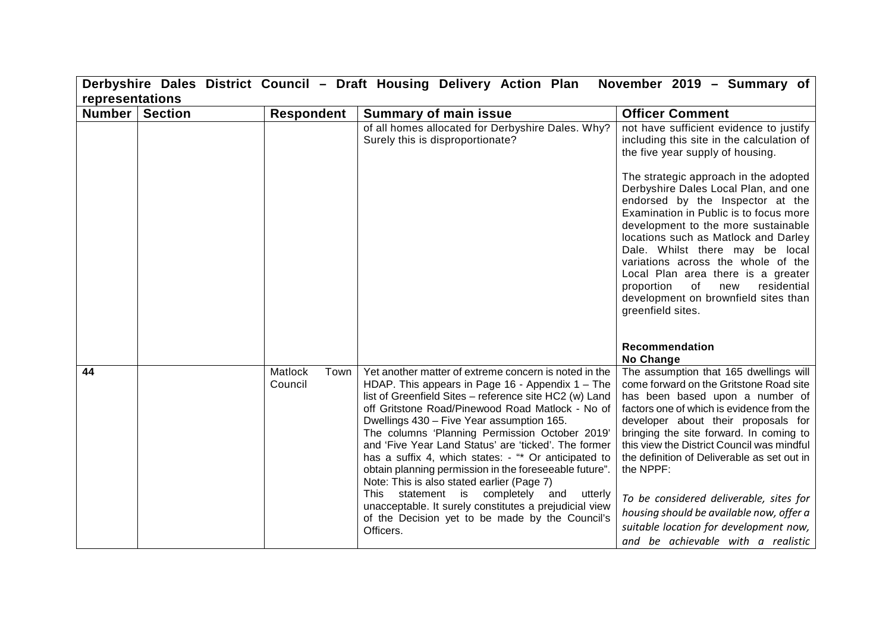| Derbyshire Dales District Council - Draft Housing Delivery Action Plan<br>November 2019 - Summary of |                |                            |                                                                                                                                                                                                                                                                                                                                                                                                                                                                                                                                                                                                                                                                                                                          |                                                                                                                                                                                                                                                                                                                                                                                                                                                                                                                                                                                              |
|------------------------------------------------------------------------------------------------------|----------------|----------------------------|--------------------------------------------------------------------------------------------------------------------------------------------------------------------------------------------------------------------------------------------------------------------------------------------------------------------------------------------------------------------------------------------------------------------------------------------------------------------------------------------------------------------------------------------------------------------------------------------------------------------------------------------------------------------------------------------------------------------------|----------------------------------------------------------------------------------------------------------------------------------------------------------------------------------------------------------------------------------------------------------------------------------------------------------------------------------------------------------------------------------------------------------------------------------------------------------------------------------------------------------------------------------------------------------------------------------------------|
| representations                                                                                      |                |                            |                                                                                                                                                                                                                                                                                                                                                                                                                                                                                                                                                                                                                                                                                                                          |                                                                                                                                                                                                                                                                                                                                                                                                                                                                                                                                                                                              |
| Number                                                                                               | <b>Section</b> | <b>Respondent</b>          | <b>Summary of main issue</b>                                                                                                                                                                                                                                                                                                                                                                                                                                                                                                                                                                                                                                                                                             | <b>Officer Comment</b>                                                                                                                                                                                                                                                                                                                                                                                                                                                                                                                                                                       |
|                                                                                                      |                |                            | of all homes allocated for Derbyshire Dales. Why?<br>Surely this is disproportionate?                                                                                                                                                                                                                                                                                                                                                                                                                                                                                                                                                                                                                                    | not have sufficient evidence to justify<br>including this site in the calculation of<br>the five year supply of housing.<br>The strategic approach in the adopted<br>Derbyshire Dales Local Plan, and one<br>endorsed by the Inspector at the<br>Examination in Public is to focus more<br>development to the more sustainable<br>locations such as Matlock and Darley<br>Dale. Whilst there may be local<br>variations across the whole of the<br>Local Plan area there is a greater<br>of<br>residential<br>proportion<br>new<br>development on brownfield sites than<br>greenfield sites. |
|                                                                                                      |                |                            |                                                                                                                                                                                                                                                                                                                                                                                                                                                                                                                                                                                                                                                                                                                          | Recommendation<br>No Change                                                                                                                                                                                                                                                                                                                                                                                                                                                                                                                                                                  |
| 44                                                                                                   |                | Matlock<br>Town<br>Council | Yet another matter of extreme concern is noted in the<br>HDAP. This appears in Page $16$ - Appendix $1 -$ The<br>list of Greenfield Sites - reference site HC2 (w) Land<br>off Gritstone Road/Pinewood Road Matlock - No of<br>Dwellings 430 - Five Year assumption 165.<br>The columns 'Planning Permission October 2019'<br>and 'Five Year Land Status' are 'ticked'. The former<br>has a suffix 4, which states: - "* Or anticipated to<br>obtain planning permission in the foreseeable future".<br>Note: This is also stated earlier (Page 7)<br>This statement is completely and utterly<br>unacceptable. It surely constitutes a prejudicial view<br>of the Decision yet to be made by the Council's<br>Officers. | The assumption that 165 dwellings will<br>come forward on the Gritstone Road site<br>has been based upon a number of<br>factors one of which is evidence from the<br>developer about their proposals for<br>bringing the site forward. In coming to<br>this view the District Council was mindful<br>the definition of Deliverable as set out in<br>the NPPF:<br>To be considered deliverable, sites for<br>housing should be available now, offer a<br>suitable location for development now,<br>and be achievable with a realistic                                                         |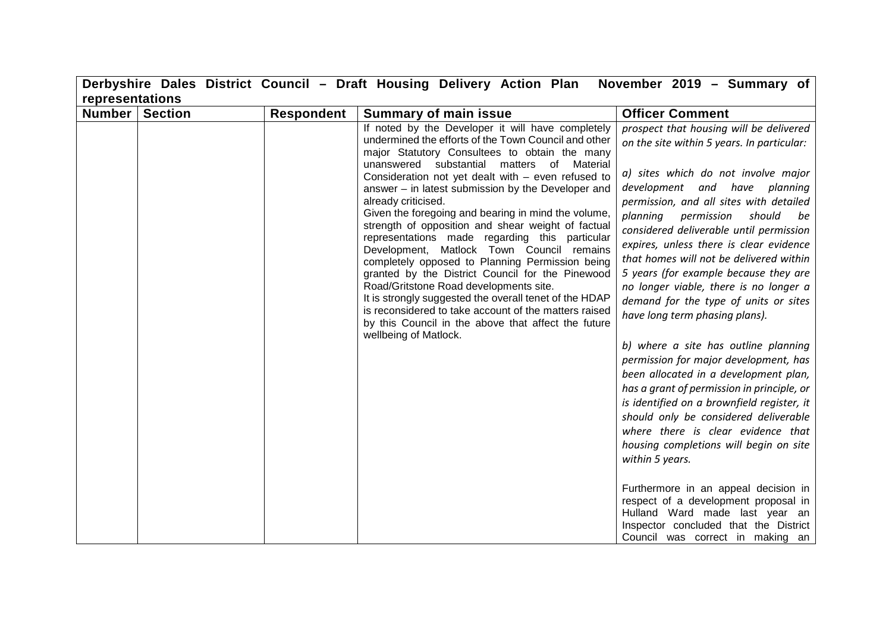|                 |                |                   | Derbyshire Dales District Council - Draft Housing Delivery Action Plan November 2019 - Summary of                                                                                                                                                                                                                                                                                                                                                                                                                                                                                                                                                                                                                                                                                                                                                                                                              |                                                                                                                                                                                                                                                                                                                                                                                                                                                                                                                                                                                                                                                                                                                                                                                                                                                                                                                                                                                                                                                                                                                    |
|-----------------|----------------|-------------------|----------------------------------------------------------------------------------------------------------------------------------------------------------------------------------------------------------------------------------------------------------------------------------------------------------------------------------------------------------------------------------------------------------------------------------------------------------------------------------------------------------------------------------------------------------------------------------------------------------------------------------------------------------------------------------------------------------------------------------------------------------------------------------------------------------------------------------------------------------------------------------------------------------------|--------------------------------------------------------------------------------------------------------------------------------------------------------------------------------------------------------------------------------------------------------------------------------------------------------------------------------------------------------------------------------------------------------------------------------------------------------------------------------------------------------------------------------------------------------------------------------------------------------------------------------------------------------------------------------------------------------------------------------------------------------------------------------------------------------------------------------------------------------------------------------------------------------------------------------------------------------------------------------------------------------------------------------------------------------------------------------------------------------------------|
| representations |                |                   |                                                                                                                                                                                                                                                                                                                                                                                                                                                                                                                                                                                                                                                                                                                                                                                                                                                                                                                |                                                                                                                                                                                                                                                                                                                                                                                                                                                                                                                                                                                                                                                                                                                                                                                                                                                                                                                                                                                                                                                                                                                    |
| <b>Number</b>   | <b>Section</b> | <b>Respondent</b> | <b>Summary of main issue</b>                                                                                                                                                                                                                                                                                                                                                                                                                                                                                                                                                                                                                                                                                                                                                                                                                                                                                   | <b>Officer Comment</b>                                                                                                                                                                                                                                                                                                                                                                                                                                                                                                                                                                                                                                                                                                                                                                                                                                                                                                                                                                                                                                                                                             |
|                 |                |                   | If noted by the Developer it will have completely<br>undermined the efforts of the Town Council and other<br>major Statutory Consultees to obtain the many<br>substantial matters of Material<br>unanswered<br>Consideration not yet dealt with - even refused to<br>answer - in latest submission by the Developer and<br>already criticised.<br>Given the foregoing and bearing in mind the volume,<br>strength of opposition and shear weight of factual<br>representations made regarding this particular<br>Development, Matlock Town Council remains<br>completely opposed to Planning Permission being<br>granted by the District Council for the Pinewood<br>Road/Gritstone Road developments site.<br>It is strongly suggested the overall tenet of the HDAP<br>is reconsidered to take account of the matters raised<br>by this Council in the above that affect the future<br>wellbeing of Matlock. | prospect that housing will be delivered<br>on the site within 5 years. In particular:<br>a) sites which do not involve major<br>development and have planning<br>permission, and all sites with detailed<br>planning<br>permission<br>should<br>be<br>considered deliverable until permission<br>expires, unless there is clear evidence<br>that homes will not be delivered within<br>5 years (for example because they are<br>no longer viable, there is no longer a<br>demand for the type of units or sites<br>have long term phasing plans).<br>b) where a site has outline planning<br>permission for major development, has<br>been allocated in a development plan,<br>has a grant of permission in principle, or<br>is identified on a brownfield register, it<br>should only be considered deliverable<br>where there is clear evidence that<br>housing completions will begin on site<br>within 5 years.<br>Furthermore in an appeal decision in<br>respect of a development proposal in<br>Hulland Ward made last year an<br>Inspector concluded that the District<br>Council was correct in making an |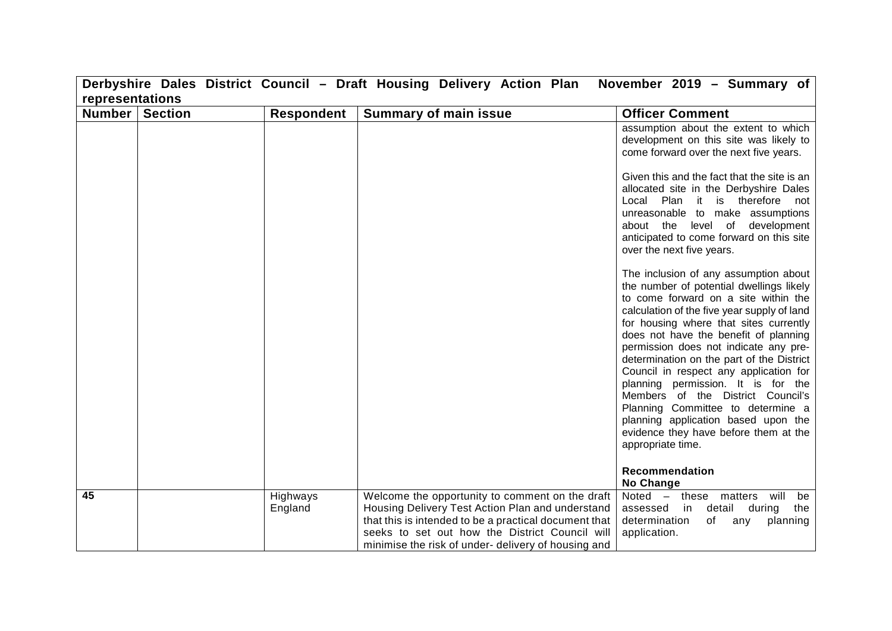| representations<br><b>Number   Section</b><br><b>Respondent</b><br><b>Summary of main issue</b><br><b>Officer Comment</b><br>over the next five years.<br>The inclusion of any assumption about<br>appropriate time.<br>Recommendation<br>No Change<br>45<br>Highways<br>Welcome the opportunity to comment on the draft<br>England<br>Housing Delivery Test Action Plan and understand<br>detail<br>assessed<br>in<br>that this is intended to be a practical document that<br>determination<br>of<br>any |  |  | Derbyshire Dales District Council - Draft Housing Delivery Action Plan | November 2019 - Summary of                                                                                                                                                                                                                                                                                                                                                                                                                                                                                                                         |  |  |
|------------------------------------------------------------------------------------------------------------------------------------------------------------------------------------------------------------------------------------------------------------------------------------------------------------------------------------------------------------------------------------------------------------------------------------------------------------------------------------------------------------|--|--|------------------------------------------------------------------------|----------------------------------------------------------------------------------------------------------------------------------------------------------------------------------------------------------------------------------------------------------------------------------------------------------------------------------------------------------------------------------------------------------------------------------------------------------------------------------------------------------------------------------------------------|--|--|
|                                                                                                                                                                                                                                                                                                                                                                                                                                                                                                            |  |  |                                                                        |                                                                                                                                                                                                                                                                                                                                                                                                                                                                                                                                                    |  |  |
|                                                                                                                                                                                                                                                                                                                                                                                                                                                                                                            |  |  |                                                                        |                                                                                                                                                                                                                                                                                                                                                                                                                                                                                                                                                    |  |  |
|                                                                                                                                                                                                                                                                                                                                                                                                                                                                                                            |  |  |                                                                        | assumption about the extent to which<br>development on this site was likely to<br>come forward over the next five years.<br>Given this and the fact that the site is an<br>allocated site in the Derbyshire Dales<br>Local Plan it is therefore not<br>unreasonable to make assumptions<br>about the level of development<br>anticipated to come forward on this site                                                                                                                                                                              |  |  |
|                                                                                                                                                                                                                                                                                                                                                                                                                                                                                                            |  |  |                                                                        | the number of potential dwellings likely<br>to come forward on a site within the<br>calculation of the five year supply of land<br>for housing where that sites currently<br>does not have the benefit of planning<br>permission does not indicate any pre-<br>determination on the part of the District<br>Council in respect any application for<br>planning permission. It is for the<br>Members of the District Council's<br>Planning Committee to determine a<br>planning application based upon the<br>evidence they have before them at the |  |  |
|                                                                                                                                                                                                                                                                                                                                                                                                                                                                                                            |  |  |                                                                        |                                                                                                                                                                                                                                                                                                                                                                                                                                                                                                                                                    |  |  |
| seeks to set out how the District Council will<br>application.<br>minimise the risk of under-delivery of housing and                                                                                                                                                                                                                                                                                                                                                                                       |  |  |                                                                        | Noted - these matters will<br>be<br>during<br>the<br>planning                                                                                                                                                                                                                                                                                                                                                                                                                                                                                      |  |  |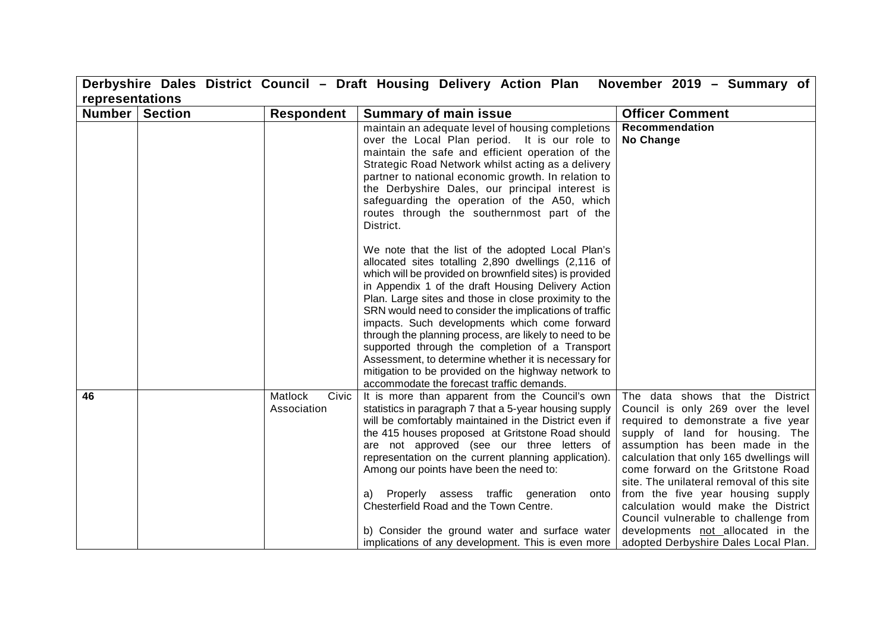|                 |                |                                 | Derbyshire Dales District Council - Draft Housing Delivery Action Plan                                                                                                                                                                                                                                                                                                                                                                                                                                                                                                                                                                                                 | November 2019 - Summary of                                                                                                                                                                                                                                                                                                                                                                                                                                                                                          |
|-----------------|----------------|---------------------------------|------------------------------------------------------------------------------------------------------------------------------------------------------------------------------------------------------------------------------------------------------------------------------------------------------------------------------------------------------------------------------------------------------------------------------------------------------------------------------------------------------------------------------------------------------------------------------------------------------------------------------------------------------------------------|---------------------------------------------------------------------------------------------------------------------------------------------------------------------------------------------------------------------------------------------------------------------------------------------------------------------------------------------------------------------------------------------------------------------------------------------------------------------------------------------------------------------|
| representations |                |                                 |                                                                                                                                                                                                                                                                                                                                                                                                                                                                                                                                                                                                                                                                        |                                                                                                                                                                                                                                                                                                                                                                                                                                                                                                                     |
| Number          | <b>Section</b> | <b>Respondent</b>               | <b>Summary of main issue</b>                                                                                                                                                                                                                                                                                                                                                                                                                                                                                                                                                                                                                                           | <b>Officer Comment</b>                                                                                                                                                                                                                                                                                                                                                                                                                                                                                              |
|                 |                |                                 | maintain an adequate level of housing completions<br>over the Local Plan period. It is our role to<br>maintain the safe and efficient operation of the<br>Strategic Road Network whilst acting as a delivery<br>partner to national economic growth. In relation to<br>the Derbyshire Dales, our principal interest is<br>safeguarding the operation of the A50, which<br>routes through the southernmost part of the<br>District.                                                                                                                                                                                                                                     | Recommendation<br>No Change                                                                                                                                                                                                                                                                                                                                                                                                                                                                                         |
|                 |                |                                 | We note that the list of the adopted Local Plan's<br>allocated sites totalling 2,890 dwellings (2,116 of<br>which will be provided on brownfield sites) is provided<br>in Appendix 1 of the draft Housing Delivery Action<br>Plan. Large sites and those in close proximity to the<br>SRN would need to consider the implications of traffic<br>impacts. Such developments which come forward<br>through the planning process, are likely to need to be<br>supported through the completion of a Transport<br>Assessment, to determine whether it is necessary for<br>mitigation to be provided on the highway network to<br>accommodate the forecast traffic demands. |                                                                                                                                                                                                                                                                                                                                                                                                                                                                                                                     |
| 46              |                | Matlock<br>Civic<br>Association | It is more than apparent from the Council's own<br>statistics in paragraph 7 that a 5-year housing supply<br>will be comfortably maintained in the District even if<br>the 415 houses proposed at Gritstone Road should<br>are not approved (see our three letters of<br>representation on the current planning application).<br>Among our points have been the need to:<br>a) Properly assess traffic generation<br>onto<br>Chesterfield Road and the Town Centre.<br>b) Consider the ground water and surface water<br>implications of any development. This is even more                                                                                            | The data shows that the District<br>Council is only 269 over the level<br>required to demonstrate a five year<br>supply of land for housing. The<br>assumption has been made in the<br>calculation that only 165 dwellings will<br>come forward on the Gritstone Road<br>site. The unilateral removal of this site<br>from the five year housing supply<br>calculation would make the District<br>Council vulnerable to challenge from<br>developments not allocated in the<br>adopted Derbyshire Dales Local Plan. |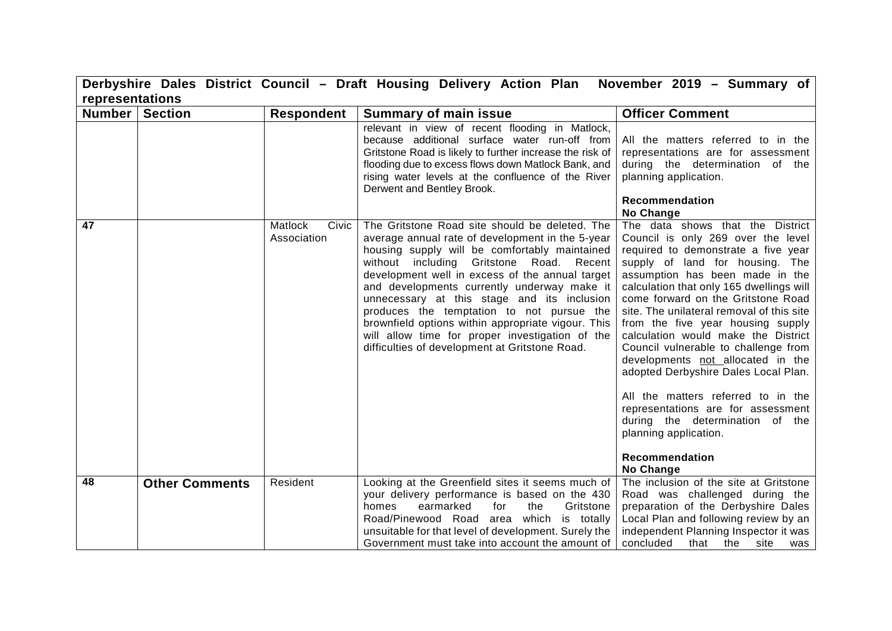|                  |                       |                                 | Derbyshire Dales District Council - Draft Housing Delivery Action Plan November 2019 - Summary of                                                                                                                                                                                                                                                                                                                                                                                                                                                        |                                                                                                                                                                                                                                                                                                                                                                                                                                                                                                                                                                                                                                                                                            |
|------------------|-----------------------|---------------------------------|----------------------------------------------------------------------------------------------------------------------------------------------------------------------------------------------------------------------------------------------------------------------------------------------------------------------------------------------------------------------------------------------------------------------------------------------------------------------------------------------------------------------------------------------------------|--------------------------------------------------------------------------------------------------------------------------------------------------------------------------------------------------------------------------------------------------------------------------------------------------------------------------------------------------------------------------------------------------------------------------------------------------------------------------------------------------------------------------------------------------------------------------------------------------------------------------------------------------------------------------------------------|
| representations  |                       |                                 |                                                                                                                                                                                                                                                                                                                                                                                                                                                                                                                                                          |                                                                                                                                                                                                                                                                                                                                                                                                                                                                                                                                                                                                                                                                                            |
| Number   Section |                       | <b>Respondent</b>               | <b>Summary of main issue</b>                                                                                                                                                                                                                                                                                                                                                                                                                                                                                                                             | <b>Officer Comment</b>                                                                                                                                                                                                                                                                                                                                                                                                                                                                                                                                                                                                                                                                     |
|                  |                       |                                 | relevant in view of recent flooding in Matlock,<br>because additional surface water run-off from<br>Gritstone Road is likely to further increase the risk of<br>flooding due to excess flows down Matlock Bank, and<br>rising water levels at the confluence of the River<br>Derwent and Bentley Brook.                                                                                                                                                                                                                                                  | All the matters referred to in the<br>representations are for assessment<br>during the determination of the<br>planning application.<br><b>Recommendation</b><br>No Change                                                                                                                                                                                                                                                                                                                                                                                                                                                                                                                 |
| 47               |                       | Matlock<br>Civic<br>Association | The Gritstone Road site should be deleted. The<br>average annual rate of development in the 5-year<br>housing supply will be comfortably maintained<br>without including Gritstone Road. Recent<br>development well in excess of the annual target<br>and developments currently underway make it<br>unnecessary at this stage and its inclusion<br>produces the temptation to not pursue the<br>brownfield options within appropriate vigour. This<br>will allow time for proper investigation of the<br>difficulties of development at Gritstone Road. | The data shows that the District<br>Council is only 269 over the level<br>required to demonstrate a five year<br>supply of land for housing. The<br>assumption has been made in the<br>calculation that only 165 dwellings will<br>come forward on the Gritstone Road<br>site. The unilateral removal of this site<br>from the five year housing supply<br>calculation would make the District<br>Council vulnerable to challenge from<br>developments not allocated in the<br>adopted Derbyshire Dales Local Plan.<br>All the matters referred to in the<br>representations are for assessment<br>during the determination of the<br>planning application.<br>Recommendation<br>No Change |
| 48               | <b>Other Comments</b> | Resident                        | Looking at the Greenfield sites it seems much of<br>your delivery performance is based on the 430<br>Gritstone<br>earmarked<br>for<br>the<br>homes<br>Road/Pinewood Road area which is totally<br>unsuitable for that level of development. Surely the<br>Government must take into account the amount of                                                                                                                                                                                                                                                | The inclusion of the site at Gritstone<br>Road was challenged during the<br>preparation of the Derbyshire Dales<br>Local Plan and following review by an<br>independent Planning Inspector it was<br>concluded<br>that<br>the<br>site<br>was                                                                                                                                                                                                                                                                                                                                                                                                                                               |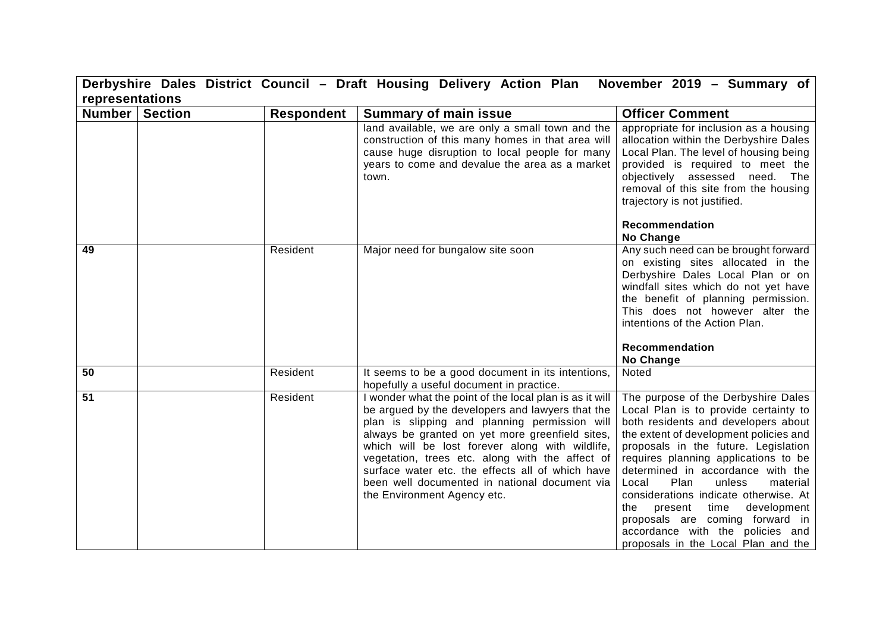|                 |                |                   | Derbyshire Dales District Council - Draft Housing Delivery Action Plan November 2019 - Summary of                                                                                                                                                                                                                                                                                                                                                         |                                                                                                                                                                                                                                                                                                                                                                                                                                                                                                                        |
|-----------------|----------------|-------------------|-----------------------------------------------------------------------------------------------------------------------------------------------------------------------------------------------------------------------------------------------------------------------------------------------------------------------------------------------------------------------------------------------------------------------------------------------------------|------------------------------------------------------------------------------------------------------------------------------------------------------------------------------------------------------------------------------------------------------------------------------------------------------------------------------------------------------------------------------------------------------------------------------------------------------------------------------------------------------------------------|
| representations |                |                   |                                                                                                                                                                                                                                                                                                                                                                                                                                                           |                                                                                                                                                                                                                                                                                                                                                                                                                                                                                                                        |
| Number          | <b>Section</b> | <b>Respondent</b> | <b>Summary of main issue</b>                                                                                                                                                                                                                                                                                                                                                                                                                              | <b>Officer Comment</b>                                                                                                                                                                                                                                                                                                                                                                                                                                                                                                 |
|                 |                |                   | land available, we are only a small town and the<br>construction of this many homes in that area will<br>cause huge disruption to local people for many<br>years to come and devalue the area as a market<br>town.                                                                                                                                                                                                                                        | appropriate for inclusion as a housing<br>allocation within the Derbyshire Dales<br>Local Plan. The level of housing being<br>provided is required to meet the<br>objectively assessed need. The<br>removal of this site from the housing<br>trajectory is not justified.<br>Recommendation<br>No Change                                                                                                                                                                                                               |
| 49              |                | Resident          | Major need for bungalow site soon                                                                                                                                                                                                                                                                                                                                                                                                                         | Any such need can be brought forward<br>on existing sites allocated in the<br>Derbyshire Dales Local Plan or on<br>windfall sites which do not yet have<br>the benefit of planning permission.<br>This does not however alter the<br>intentions of the Action Plan.<br>Recommendation<br>No Change                                                                                                                                                                                                                     |
| 50              |                | Resident          | It seems to be a good document in its intentions,<br>hopefully a useful document in practice.                                                                                                                                                                                                                                                                                                                                                             | Noted                                                                                                                                                                                                                                                                                                                                                                                                                                                                                                                  |
| 51              |                | Resident          | I wonder what the point of the local plan is as it will<br>be argued by the developers and lawyers that the<br>plan is slipping and planning permission will<br>always be granted on yet more greenfield sites,<br>which will be lost forever along with wildlife,<br>vegetation, trees etc. along with the affect of<br>surface water etc. the effects all of which have<br>been well documented in national document via<br>the Environment Agency etc. | The purpose of the Derbyshire Dales<br>Local Plan is to provide certainty to<br>both residents and developers about<br>the extent of development policies and<br>proposals in the future. Legislation<br>requires planning applications to be<br>determined in accordance with the<br>Plan<br>unless<br>material<br>Local<br>considerations indicate otherwise. At<br>present time<br>development<br>the<br>proposals are coming forward in<br>accordance with the policies and<br>proposals in the Local Plan and the |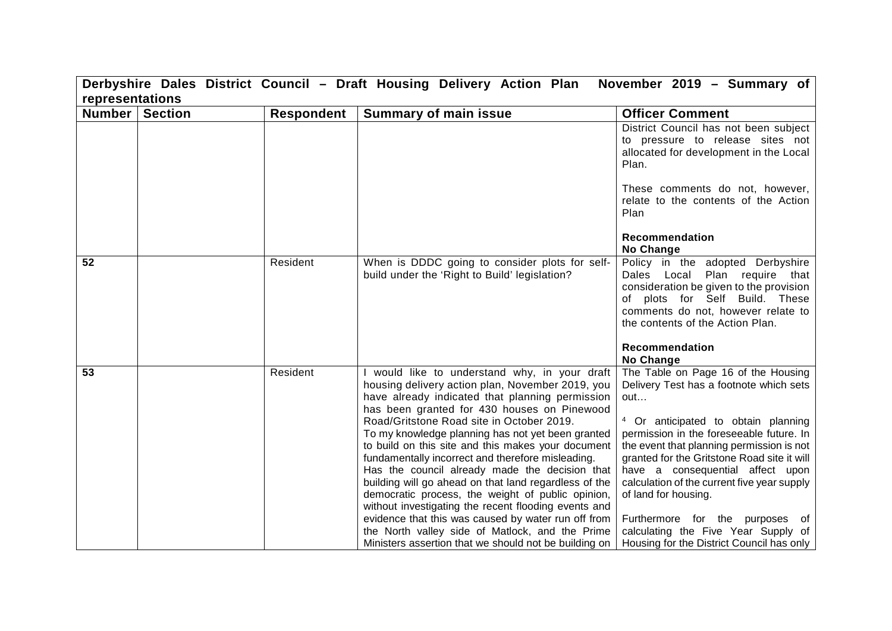| Derbyshire Dales District Council - Draft Housing Delivery Action Plan<br>November 2019 - Summary of |                |                   |                                                                                                                                                                                                                                                                                                                                                                                                                                                                                                                                                                                                                                                                                                                                                  |                                                                                                                                                                                                                                                                                                                                                                                                                                                                      |  |
|------------------------------------------------------------------------------------------------------|----------------|-------------------|--------------------------------------------------------------------------------------------------------------------------------------------------------------------------------------------------------------------------------------------------------------------------------------------------------------------------------------------------------------------------------------------------------------------------------------------------------------------------------------------------------------------------------------------------------------------------------------------------------------------------------------------------------------------------------------------------------------------------------------------------|----------------------------------------------------------------------------------------------------------------------------------------------------------------------------------------------------------------------------------------------------------------------------------------------------------------------------------------------------------------------------------------------------------------------------------------------------------------------|--|
| representations                                                                                      |                |                   |                                                                                                                                                                                                                                                                                                                                                                                                                                                                                                                                                                                                                                                                                                                                                  |                                                                                                                                                                                                                                                                                                                                                                                                                                                                      |  |
| Number                                                                                               | <b>Section</b> | <b>Respondent</b> | <b>Summary of main issue</b>                                                                                                                                                                                                                                                                                                                                                                                                                                                                                                                                                                                                                                                                                                                     | <b>Officer Comment</b>                                                                                                                                                                                                                                                                                                                                                                                                                                               |  |
|                                                                                                      |                |                   |                                                                                                                                                                                                                                                                                                                                                                                                                                                                                                                                                                                                                                                                                                                                                  | District Council has not been subject<br>to pressure to release sites not<br>allocated for development in the Local<br>Plan.<br>These comments do not, however,                                                                                                                                                                                                                                                                                                      |  |
|                                                                                                      |                |                   |                                                                                                                                                                                                                                                                                                                                                                                                                                                                                                                                                                                                                                                                                                                                                  | relate to the contents of the Action<br>Plan                                                                                                                                                                                                                                                                                                                                                                                                                         |  |
|                                                                                                      |                |                   |                                                                                                                                                                                                                                                                                                                                                                                                                                                                                                                                                                                                                                                                                                                                                  | <b>Recommendation</b><br>No Change                                                                                                                                                                                                                                                                                                                                                                                                                                   |  |
| 52                                                                                                   |                | Resident          | When is DDDC going to consider plots for self-<br>build under the 'Right to Build' legislation?                                                                                                                                                                                                                                                                                                                                                                                                                                                                                                                                                                                                                                                  | Policy in the adopted Derbyshire<br>Dales Local Plan require that<br>consideration be given to the provision<br>of plots for Self Build. These<br>comments do not, however relate to<br>the contents of the Action Plan.                                                                                                                                                                                                                                             |  |
|                                                                                                      |                |                   |                                                                                                                                                                                                                                                                                                                                                                                                                                                                                                                                                                                                                                                                                                                                                  | Recommendation<br><b>No Change</b>                                                                                                                                                                                                                                                                                                                                                                                                                                   |  |
| 53                                                                                                   |                | Resident          | would like to understand why, in your draft<br>housing delivery action plan, November 2019, you<br>have already indicated that planning permission<br>has been granted for 430 houses on Pinewood<br>Road/Gritstone Road site in October 2019.<br>To my knowledge planning has not yet been granted<br>to build on this site and this makes your document<br>fundamentally incorrect and therefore misleading.<br>Has the council already made the decision that<br>building will go ahead on that land regardless of the<br>democratic process, the weight of public opinion,<br>without investigating the recent flooding events and<br>evidence that this was caused by water run off from<br>the North valley side of Matlock, and the Prime | The Table on Page 16 of the Housing<br>Delivery Test has a footnote which sets<br>out<br><sup>4</sup> Or anticipated to obtain planning<br>permission in the foreseeable future. In<br>the event that planning permission is not<br>granted for the Gritstone Road site it will<br>have a consequential affect upon<br>calculation of the current five year supply<br>of land for housing.<br>Furthermore for the purposes of<br>calculating the Five Year Supply of |  |
|                                                                                                      |                |                   | Ministers assertion that we should not be building on                                                                                                                                                                                                                                                                                                                                                                                                                                                                                                                                                                                                                                                                                            | Housing for the District Council has only                                                                                                                                                                                                                                                                                                                                                                                                                            |  |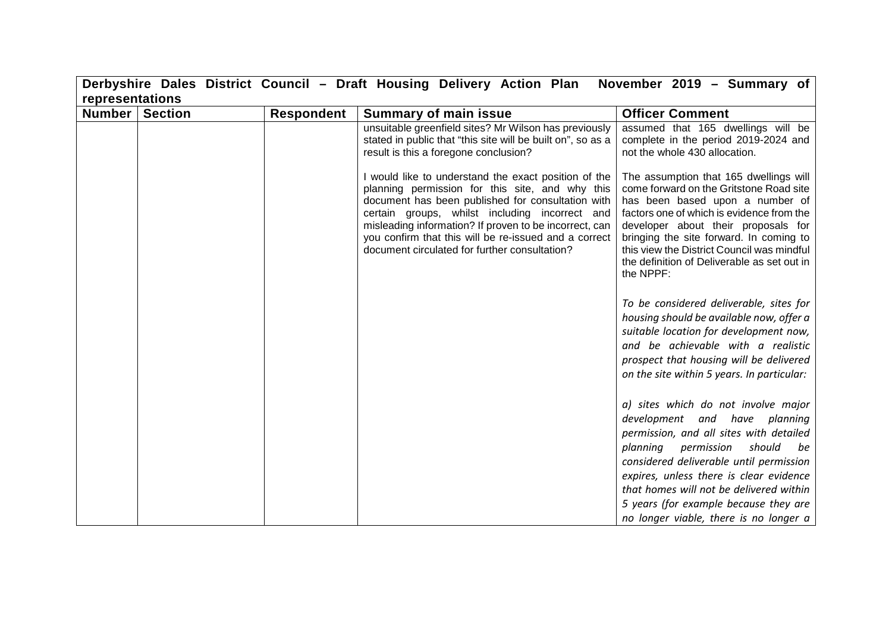|                 |                |                   | Derbyshire Dales District Council - Draft Housing Delivery Action Plan November 2019 - Summary of                                                                                                                                                                                                                                                                                  |                                                                                                                                                                                                                                                                                                                                                                            |
|-----------------|----------------|-------------------|------------------------------------------------------------------------------------------------------------------------------------------------------------------------------------------------------------------------------------------------------------------------------------------------------------------------------------------------------------------------------------|----------------------------------------------------------------------------------------------------------------------------------------------------------------------------------------------------------------------------------------------------------------------------------------------------------------------------------------------------------------------------|
| representations |                |                   |                                                                                                                                                                                                                                                                                                                                                                                    |                                                                                                                                                                                                                                                                                                                                                                            |
| <b>Number</b>   | <b>Section</b> | <b>Respondent</b> | <b>Summary of main issue</b>                                                                                                                                                                                                                                                                                                                                                       | <b>Officer Comment</b>                                                                                                                                                                                                                                                                                                                                                     |
|                 |                |                   | unsuitable greenfield sites? Mr Wilson has previously<br>stated in public that "this site will be built on", so as a<br>result is this a foregone conclusion?                                                                                                                                                                                                                      | assumed that 165 dwellings will be<br>complete in the period 2019-2024 and<br>not the whole 430 allocation.                                                                                                                                                                                                                                                                |
|                 |                |                   | I would like to understand the exact position of the<br>planning permission for this site, and why this<br>document has been published for consultation with<br>certain groups, whilst including incorrect and<br>misleading information? If proven to be incorrect, can<br>you confirm that this will be re-issued and a correct<br>document circulated for further consultation? | The assumption that 165 dwellings will<br>come forward on the Gritstone Road site<br>has been based upon a number of<br>factors one of which is evidence from the<br>developer about their proposals for<br>bringing the site forward. In coming to<br>this view the District Council was mindful<br>the definition of Deliverable as set out in<br>the NPPF:              |
|                 |                |                   |                                                                                                                                                                                                                                                                                                                                                                                    | To be considered deliverable, sites for<br>housing should be available now, offer a<br>suitable location for development now,<br>and be achievable with a realistic<br>prospect that housing will be delivered<br>on the site within 5 years. In particular:                                                                                                               |
|                 |                |                   |                                                                                                                                                                                                                                                                                                                                                                                    | a) sites which do not involve major<br>development and have planning<br>permission, and all sites with detailed<br>planning permission<br>should<br>be<br>considered deliverable until permission<br>expires, unless there is clear evidence<br>that homes will not be delivered within<br>5 years (for example because they are<br>no longer viable, there is no longer a |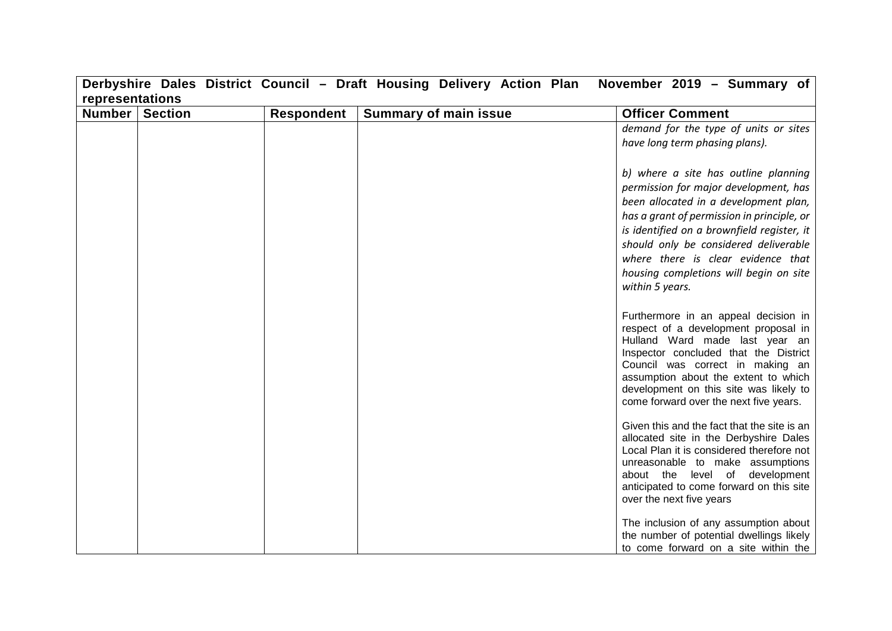|                                     |                   | Derbyshire Dales District Council – Draft Housing Delivery Action Plan | November 2019 – Summary of                                                                                                                                                                                                                                                                                                                                     |
|-------------------------------------|-------------------|------------------------------------------------------------------------|----------------------------------------------------------------------------------------------------------------------------------------------------------------------------------------------------------------------------------------------------------------------------------------------------------------------------------------------------------------|
| representations<br>Number   Section | <b>Respondent</b> | <b>Summary of main issue</b>                                           | <b>Officer Comment</b>                                                                                                                                                                                                                                                                                                                                         |
|                                     |                   |                                                                        | demand for the type of units or sites                                                                                                                                                                                                                                                                                                                          |
|                                     |                   |                                                                        | have long term phasing plans).                                                                                                                                                                                                                                                                                                                                 |
|                                     |                   |                                                                        | b) where a site has outline planning<br>permission for major development, has<br>been allocated in a development plan,<br>has a grant of permission in principle, or<br>is identified on a brownfield register, it<br>should only be considered deliverable<br>where there is clear evidence that<br>housing completions will begin on site<br>within 5 years. |
|                                     |                   |                                                                        | Furthermore in an appeal decision in<br>respect of a development proposal in<br>Hulland Ward made last year an<br>Inspector concluded that the District<br>Council was correct in making an<br>assumption about the extent to which<br>development on this site was likely to<br>come forward over the next five years.                                        |
|                                     |                   |                                                                        | Given this and the fact that the site is an<br>allocated site in the Derbyshire Dales<br>Local Plan it is considered therefore not<br>unreasonable to make assumptions<br>about the level of development<br>anticipated to come forward on this site<br>over the next five years                                                                               |
|                                     |                   |                                                                        | The inclusion of any assumption about<br>the number of potential dwellings likely<br>to come forward on a site within the                                                                                                                                                                                                                                      |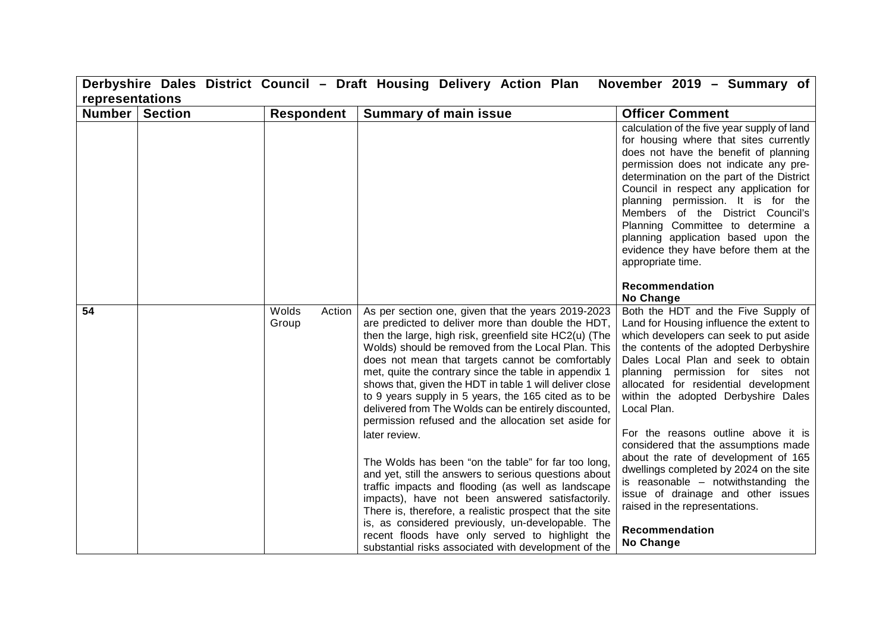| Derbyshire Dales District Council - Draft Housing Delivery Action Plan<br>November 2019 - Summary of |                |                          |                                                                                                                                                                                                                                                                                                                                                                                                                                                                                                                                                                                                                                                                                                                                                                                                                                                                                                                                                                                                                                               |                                                                                                                                                                                                                                                                                                                                                                                                                                                                                                                                                                                                                                                                  |  |  |  |
|------------------------------------------------------------------------------------------------------|----------------|--------------------------|-----------------------------------------------------------------------------------------------------------------------------------------------------------------------------------------------------------------------------------------------------------------------------------------------------------------------------------------------------------------------------------------------------------------------------------------------------------------------------------------------------------------------------------------------------------------------------------------------------------------------------------------------------------------------------------------------------------------------------------------------------------------------------------------------------------------------------------------------------------------------------------------------------------------------------------------------------------------------------------------------------------------------------------------------|------------------------------------------------------------------------------------------------------------------------------------------------------------------------------------------------------------------------------------------------------------------------------------------------------------------------------------------------------------------------------------------------------------------------------------------------------------------------------------------------------------------------------------------------------------------------------------------------------------------------------------------------------------------|--|--|--|
| representations                                                                                      |                |                          |                                                                                                                                                                                                                                                                                                                                                                                                                                                                                                                                                                                                                                                                                                                                                                                                                                                                                                                                                                                                                                               |                                                                                                                                                                                                                                                                                                                                                                                                                                                                                                                                                                                                                                                                  |  |  |  |
| <b>Number</b>                                                                                        | <b>Section</b> | <b>Respondent</b>        | <b>Summary of main issue</b>                                                                                                                                                                                                                                                                                                                                                                                                                                                                                                                                                                                                                                                                                                                                                                                                                                                                                                                                                                                                                  | <b>Officer Comment</b>                                                                                                                                                                                                                                                                                                                                                                                                                                                                                                                                                                                                                                           |  |  |  |
|                                                                                                      |                |                          |                                                                                                                                                                                                                                                                                                                                                                                                                                                                                                                                                                                                                                                                                                                                                                                                                                                                                                                                                                                                                                               | calculation of the five year supply of land<br>for housing where that sites currently<br>does not have the benefit of planning<br>permission does not indicate any pre-<br>determination on the part of the District<br>Council in respect any application for<br>planning permission. It is for the<br>Members of the District Council's<br>Planning Committee to determine a<br>planning application based upon the<br>evidence they have before them at the<br>appropriate time.                                                                                                                                                                              |  |  |  |
|                                                                                                      |                |                          |                                                                                                                                                                                                                                                                                                                                                                                                                                                                                                                                                                                                                                                                                                                                                                                                                                                                                                                                                                                                                                               | <b>Recommendation</b><br>No Change                                                                                                                                                                                                                                                                                                                                                                                                                                                                                                                                                                                                                               |  |  |  |
| 54                                                                                                   |                | Wolds<br>Action<br>Group | As per section one, given that the years 2019-2023<br>are predicted to deliver more than double the HDT,<br>then the large, high risk, greenfield site HC2(u) (The<br>Wolds) should be removed from the Local Plan. This<br>does not mean that targets cannot be comfortably<br>met, quite the contrary since the table in appendix 1<br>shows that, given the HDT in table 1 will deliver close<br>to 9 years supply in 5 years, the 165 cited as to be<br>delivered from The Wolds can be entirely discounted,<br>permission refused and the allocation set aside for<br>later review.<br>The Wolds has been "on the table" for far too long,<br>and yet, still the answers to serious questions about<br>traffic impacts and flooding (as well as landscape<br>impacts), have not been answered satisfactorily.<br>There is, therefore, a realistic prospect that the site<br>is, as considered previously, un-developable. The<br>recent floods have only served to highlight the<br>substantial risks associated with development of the | Both the HDT and the Five Supply of<br>Land for Housing influence the extent to<br>which developers can seek to put aside<br>the contents of the adopted Derbyshire<br>Dales Local Plan and seek to obtain<br>planning permission for sites not<br>allocated for residential development<br>within the adopted Derbyshire Dales<br>Local Plan.<br>For the reasons outline above it is<br>considered that the assumptions made<br>about the rate of development of 165<br>dwellings completed by 2024 on the site<br>is reasonable $-$ notwithstanding the<br>issue of drainage and other issues<br>raised in the representations.<br>Recommendation<br>No Change |  |  |  |